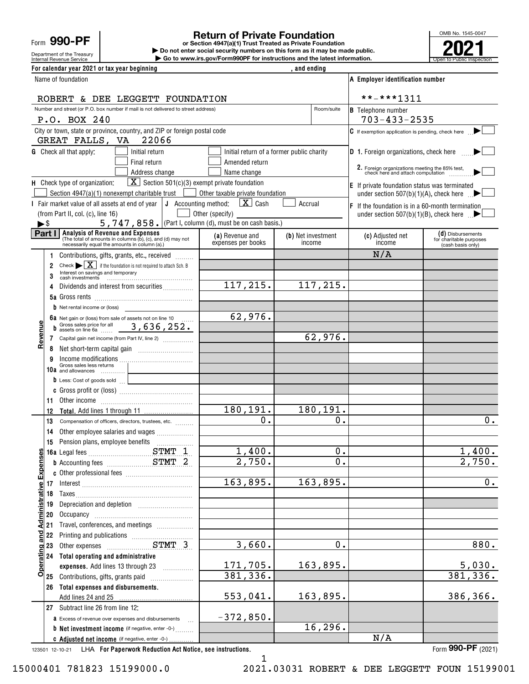Form **990-PF**

Department of the Treasury

# **Return of Private Foundation**

Internal Revenue Service **Number 19th Construction Constructions and the latest information.** The Service of Public Inspection **or Section 4947(a)(1) Trust Treated as Private Foundation | Do not enter social security numbers on this form as it may be made public. | Go to www.irs.gov/Form990PF for instructions and the latest information.**

**For calendar year 2021 or tax year beginning , and ending**



| Name of foundation                       |                                                                                                             |        | A Employer identification number                                 |                              |                    |                                                                                     |                                                                   |
|------------------------------------------|-------------------------------------------------------------------------------------------------------------|--------|------------------------------------------------------------------|------------------------------|--------------------|-------------------------------------------------------------------------------------|-------------------------------------------------------------------|
|                                          | ROBERT & DEE LEGGETT FOUNDATION                                                                             |        |                                                                  |                              |                    | **-***1311                                                                          |                                                                   |
|                                          | Number and street (or P.O. box number if mail is not delivered to street address)                           |        |                                                                  |                              | Room/suite         | <b>B</b> Telephone number                                                           |                                                                   |
| P.O. BOX 240                             |                                                                                                             |        |                                                                  |                              | $703 - 433 - 2535$ |                                                                                     |                                                                   |
|                                          | City or town, state or province, country, and ZIP or foreign postal code<br>GREAT FALLS, VA 22066           |        |                                                                  |                              |                    | $\mathbf C$ If exemption application is pending, check here                         |                                                                   |
| <b>G</b> Check all that apply:           | Initial return                                                                                              |        | Initial return of a former public charity                        |                              |                    | <b>D</b> 1. Foreign organizations, check here                                       |                                                                   |
|                                          | Final return                                                                                                |        | Amended return                                                   |                              |                    |                                                                                     |                                                                   |
|                                          | Address change                                                                                              |        | Name change                                                      |                              |                    | 2. Foreign organizations meeting the 85% test,<br>check here and attach computation |                                                                   |
| H Check type of organization:            |                                                                                                             |        | $\boxed{\mathbf{X}}$ Section 501(c)(3) exempt private foundation |                              |                    | E If private foundation status was terminated                                       |                                                                   |
|                                          | Section 4947(a)(1) nonexempt charitable trust                                                               |        | Other taxable private foundation                                 |                              |                    | under section 507(b)(1)(A), check here $\Box$                                       |                                                                   |
|                                          | I Fair market value of all assets at end of year $\int$ J Accounting method:                                |        | $\mathbf{X}$ Cash                                                | Accrual                      |                    | IF.<br>If the foundation is in a 60-month termination                               |                                                                   |
|                                          | (from Part II, col. (c), line 16)                                                                           |        | Other (specify)                                                  |                              |                    | under section 507(b)(1)(B), check here $\mathbb{R}$                                 |                                                                   |
| $\blacktriangleright$ \$<br>Part II      | <b>Analysis of Revenue and Expenses</b>                                                                     |        | 5, 747, 858. (Part I, column (d), must be on cash basis.)        |                              |                    |                                                                                     |                                                                   |
|                                          | (The total of amounts in columns (b), (c), and (d) may not<br>necessarily equal the amounts in column (a).) |        | (a) Revenue and<br>expenses per books                            | (b) Net investment<br>income |                    | (c) Adjusted net<br>income                                                          | (d) Disbursements<br>for charitable purposes<br>(cash basis only) |
|                                          | Contributions, gifts, grants, etc., received                                                                |        |                                                                  |                              |                    | N/A                                                                                 |                                                                   |
| 2                                        | Check $\blacktriangleright \boxed{\mathbf{X}}$ if the foundation is not required to attach Sch. B           |        |                                                                  |                              |                    |                                                                                     |                                                                   |
| 3                                        | Interest on savings and temporary                                                                           |        |                                                                  |                              |                    |                                                                                     |                                                                   |
| 4                                        | Dividends and interest from securities                                                                      |        | 117,215.                                                         |                              | 117,215.           |                                                                                     |                                                                   |
|                                          |                                                                                                             |        |                                                                  |                              |                    |                                                                                     |                                                                   |
|                                          | <b>b</b> Net rental income or (loss)                                                                        |        |                                                                  |                              |                    |                                                                                     |                                                                   |
|                                          | 6a Net gain or (loss) from sale of assets not on line 10                                                    |        | 62,976.                                                          |                              |                    |                                                                                     |                                                                   |
| Revenue                                  | $\frac{1}{2}$ of Gross sales price for all 3,636,252.                                                       |        |                                                                  |                              | 62,976.            |                                                                                     |                                                                   |
| 7<br>8                                   | Capital gain net income (from Part IV, line 2)                                                              |        |                                                                  |                              |                    |                                                                                     |                                                                   |
| 9                                        |                                                                                                             |        |                                                                  |                              |                    |                                                                                     |                                                                   |
|                                          | Gross sales less returns<br>10a and allowances                                                              |        |                                                                  |                              |                    |                                                                                     |                                                                   |
|                                          | b Less: Cost of goods sold                                                                                  |        |                                                                  |                              |                    |                                                                                     |                                                                   |
|                                          |                                                                                                             |        |                                                                  |                              |                    |                                                                                     |                                                                   |
| 11                                       |                                                                                                             |        |                                                                  |                              |                    |                                                                                     |                                                                   |
| 12                                       |                                                                                                             |        | 180,191.                                                         |                              | 180, 191.          |                                                                                     |                                                                   |
| 13                                       | Compensation of officers, directors, trustees, etc.                                                         |        | 0.                                                               |                              | 0.                 |                                                                                     | $0$ .                                                             |
| 14                                       | Other employee salaries and wages                                                                           |        |                                                                  |                              |                    |                                                                                     |                                                                   |
| 15                                       |                                                                                                             |        | 1,400.                                                           |                              | 0.                 |                                                                                     | 1,400.                                                            |
| ses                                      | <b>b</b> Accounting fees <b>STMT</b> 2                                                                      |        | 2,750.                                                           |                              | $\overline{0}$ .   |                                                                                     | 2,750.                                                            |
|                                          |                                                                                                             |        |                                                                  |                              |                    |                                                                                     |                                                                   |
| 17                                       |                                                                                                             |        | 163,895.                                                         |                              | 163,895.           |                                                                                     | 0.                                                                |
| 18                                       |                                                                                                             |        |                                                                  |                              |                    |                                                                                     |                                                                   |
| 19                                       |                                                                                                             |        |                                                                  |                              |                    |                                                                                     |                                                                   |
| 20                                       |                                                                                                             |        |                                                                  |                              |                    |                                                                                     |                                                                   |
| 21                                       | Travel, conferences, and meetings                                                                           |        |                                                                  |                              |                    |                                                                                     |                                                                   |
| Operating and Administrative Exper<br>22 |                                                                                                             |        | 3,660.                                                           |                              | 0.                 |                                                                                     | 880.                                                              |
| 23<br>24                                 | Total operating and administrative                                                                          |        |                                                                  |                              |                    |                                                                                     |                                                                   |
|                                          | expenses. Add lines 13 through 23                                                                           |        | 171,705.                                                         |                              | 163,895.           |                                                                                     | 5,030.                                                            |
| 25                                       | Contributions, gifts, grants paid                                                                           |        | 381,336.                                                         |                              |                    |                                                                                     | 381,336.                                                          |
| 26                                       | Total expenses and disbursements.                                                                           |        |                                                                  |                              |                    |                                                                                     |                                                                   |
|                                          | Add lines 24 and 25                                                                                         |        | 553,041.                                                         |                              | 163,895.           |                                                                                     | 386,366.                                                          |
|                                          | 27 Subtract line 26 from line 12:                                                                           |        |                                                                  |                              |                    |                                                                                     |                                                                   |
|                                          | <b>a</b> Excess of revenue over expenses and disbursements                                                  | $\sim$ | $-372,850.$                                                      |                              |                    |                                                                                     |                                                                   |
|                                          | <b>b</b> Net investment income (if negative, enter -0-)                                                     |        |                                                                  |                              | 16, 296.           |                                                                                     |                                                                   |
|                                          | C Adjusted net income (if negative, enter -0-)                                                              |        |                                                                  |                              |                    | N/A                                                                                 |                                                                   |

123501 12-10-21 **For Paperwork Reduction Act Notice, see instructions.** LHA Form (2021)

**990-PF**

1

15000401 781823 15199000.0 2021.03031 ROBERT & DEE LEGGETT FOUN 15199001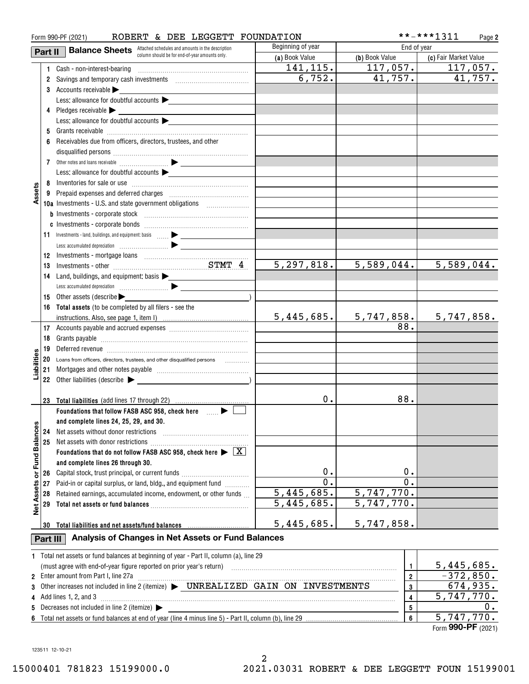|                      |          | ROBERT & DEE LEGGETT FOUNDATION<br>Form 990-PF (2021)                                                                                                                                                                          |                           |                  | **-***1311<br>Page 2      |
|----------------------|----------|--------------------------------------------------------------------------------------------------------------------------------------------------------------------------------------------------------------------------------|---------------------------|------------------|---------------------------|
|                      | Part II  | <b>Balance Sheets</b> Attached schedules and amounts in the description                                                                                                                                                        | Beginning of year         | End of year      |                           |
|                      |          | column should be for end-of-year amounts only.                                                                                                                                                                                 | (a) Book Value            | (b) Book Value   | (c) Fair Market Value     |
|                      | 1.       | Cash - non-interest-bearing                                                                                                                                                                                                    | 141, 115.                 | 117,057.         | 117,057.                  |
|                      | 2        |                                                                                                                                                                                                                                | 6,752.                    | 41,757.          | 41,757.                   |
|                      |          | 3 Accounts receivable $\blacktriangleright$                                                                                                                                                                                    |                           |                  |                           |
|                      |          | Less: allowance for doubtful accounts                                                                                                                                                                                          |                           |                  |                           |
|                      |          | 4 Pledges receivable $\blacktriangleright$                                                                                                                                                                                     |                           |                  |                           |
|                      |          | Less: allowance for doubtful accounts<br><u>Less:</u> allowance for doubtful accounts                                                                                                                                          |                           |                  |                           |
|                      | 5        |                                                                                                                                                                                                                                |                           |                  |                           |
|                      | 6        | Receivables due from officers, directors, trustees, and other                                                                                                                                                                  |                           |                  |                           |
|                      |          |                                                                                                                                                                                                                                |                           |                  |                           |
|                      |          |                                                                                                                                                                                                                                |                           |                  |                           |
|                      |          | Less: allowance for doubtful accounts > \\ess: allowance for doubtful accounts                                                                                                                                                 |                           |                  |                           |
|                      | 8        |                                                                                                                                                                                                                                |                           |                  |                           |
| Assets               | 9        |                                                                                                                                                                                                                                |                           |                  |                           |
|                      |          | 10a Investments - U.S. and state government obligations                                                                                                                                                                        |                           |                  |                           |
|                      |          |                                                                                                                                                                                                                                |                           |                  |                           |
|                      |          |                                                                                                                                                                                                                                |                           |                  |                           |
|                      |          | 11 Investments - land, buildings, and equipment: basis  > _______________                                                                                                                                                      |                           |                  |                           |
|                      |          |                                                                                                                                                                                                                                |                           |                  |                           |
|                      |          |                                                                                                                                                                                                                                |                           |                  |                           |
|                      | 13       |                                                                                                                                                                                                                                | 5, 297, 818.              | 5,589,044.       | $\overline{5,589,044}$ .  |
|                      | 14       | Land, buildings, and equipment: basis >                                                                                                                                                                                        |                           |                  |                           |
|                      |          |                                                                                                                                                                                                                                |                           |                  |                           |
|                      | 15       | Other assets (describe $\blacktriangleright$                                                                                                                                                                                   |                           |                  |                           |
|                      |          | 16 Total assets (to be completed by all filers - see the                                                                                                                                                                       |                           |                  |                           |
|                      |          |                                                                                                                                                                                                                                | 5,445,685.                |                  | $5,747,858.$ $5,747,858.$ |
|                      |          |                                                                                                                                                                                                                                |                           | 88.              |                           |
|                      | 18       |                                                                                                                                                                                                                                |                           |                  |                           |
|                      | 19       |                                                                                                                                                                                                                                |                           |                  |                           |
| δŞ                   |          | Deferred revenue information and contain an area of the contained and contain an area of the contained and contain an area of the contained and contain an area of the contained and contain an area of the contained and cont |                           |                  |                           |
| Liabiliti            | 20       | Loans from officers, directors, trustees, and other disqualified persons                                                                                                                                                       |                           |                  |                           |
|                      | 21       |                                                                                                                                                                                                                                |                           |                  |                           |
|                      |          | 22 Other liabilities (describe $\blacktriangleright$                                                                                                                                                                           |                           |                  |                           |
|                      |          |                                                                                                                                                                                                                                | 0.                        | 88.              |                           |
|                      |          | 23 Total liabilities (add lines 17 through 22)<br>Foundations that follow FASB ASC 958, check here <b>Fig.</b>                                                                                                                 |                           |                  |                           |
|                      |          |                                                                                                                                                                                                                                |                           |                  |                           |
|                      |          | and complete lines 24, 25, 29, and 30.                                                                                                                                                                                         |                           |                  |                           |
|                      | 24       | Net assets without donor restrictions                                                                                                                                                                                          |                           |                  |                           |
| <b>Fund Balances</b> | 25       | Net assets with donor restrictions<br>Foundations that do not follow FASB ASC 958, check here $\blacktriangleright \boxed{\text{X}}$                                                                                           |                           |                  |                           |
|                      |          |                                                                                                                                                                                                                                |                           |                  |                           |
|                      |          | and complete lines 26 through 30.                                                                                                                                                                                              | 0.                        | 0.               |                           |
| ŏ                    | 26       | Capital stock, trust principal, or current funds                                                                                                                                                                               | $\overline{0}$ .          | 0.               |                           |
| <b>Net Assets</b>    | 27       | Paid-in or capital surplus, or land, bldg., and equipment fund                                                                                                                                                                 | $\overline{5,445,685}$ .  | 5,747,770.       |                           |
|                      | 28       | Retained earnings, accumulated income, endowment, or other funds                                                                                                                                                               | $\overline{5,445}$ , 685. | 5,747,770.       |                           |
|                      | 29       |                                                                                                                                                                                                                                |                           |                  |                           |
|                      |          |                                                                                                                                                                                                                                |                           |                  |                           |
|                      |          | 30 Total liabilities and net assets/fund balances                                                                                                                                                                              | 5,445,685.                | 5,747,858.       |                           |
|                      | Part III | Analysis of Changes in Net Assets or Fund Balances                                                                                                                                                                             |                           |                  |                           |
|                      |          | 1 Total net assets or fund balances at beginning of year - Part II, column (a), line 29                                                                                                                                        |                           |                  |                           |
|                      |          | (must agree with end-of-year figure reported on prior year's return)                                                                                                                                                           |                           | 1                | 5,445,685.                |
| 2                    |          | Enter amount from Part I, line 27a                                                                                                                                                                                             |                           | $\boldsymbol{2}$ | $-372,850.$               |
| 3                    |          | Other increases not included in line 2 (itemize) > UNREALIZED GAIN ON INVESTMENTS                                                                                                                                              |                           | 3                | 674,935.                  |
| 4                    |          | Add lines 1, 2, and 3                                                                                                                                                                                                          |                           | 4                | 5,747,770.                |
| 5                    |          | Decreases not included in line 2 (itemize) >                                                                                                                                                                                   |                           | 5                | 0.                        |
|                      |          |                                                                                                                                                                                                                                |                           | 6                | 5,747,770.                |
|                      |          |                                                                                                                                                                                                                                |                           |                  | $QQQLDE$ (2004)           |

Form (2021) **990-PF**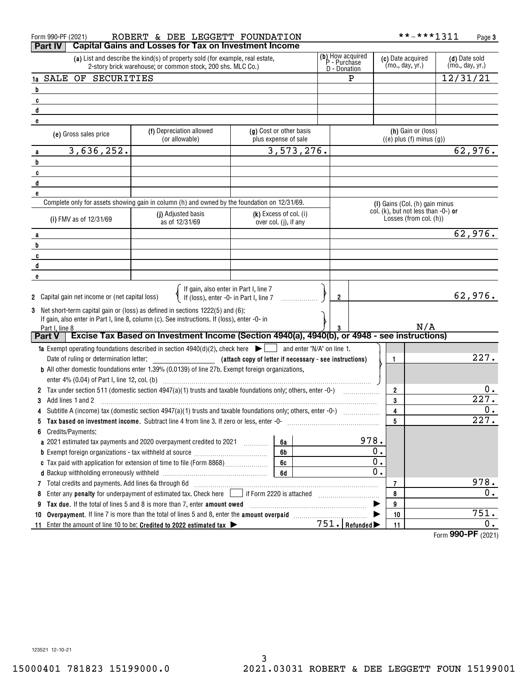| Form 990-PF (2021)                                                                                                                 | ROBERT & DEE LEGGETT FOUNDATION                                                                                                              |                                                                                 |                                                  | **-***1311                                                    | Page 3                           |
|------------------------------------------------------------------------------------------------------------------------------------|----------------------------------------------------------------------------------------------------------------------------------------------|---------------------------------------------------------------------------------|--------------------------------------------------|---------------------------------------------------------------|----------------------------------|
| <b>Part IV</b>                                                                                                                     | <b>Capital Gains and Losses for Tax on Investment Income</b>                                                                                 |                                                                                 |                                                  |                                                               |                                  |
|                                                                                                                                    | (a) List and describe the kind(s) of property sold (for example, real estate,<br>2-story brick warehouse; or common stock, 200 shs. MLC Co.) |                                                                                 | (b) How acquired<br>P - Purchase<br>D - Donation | (c) Date acquired<br>(mo., day, yr.)                          | (d) Date sold<br>(mo., day, yr.) |
| 1a SALE OF SECURITIES                                                                                                              |                                                                                                                                              |                                                                                 | P                                                |                                                               | 12/31/21                         |
| b                                                                                                                                  |                                                                                                                                              |                                                                                 |                                                  |                                                               |                                  |
| C                                                                                                                                  |                                                                                                                                              |                                                                                 |                                                  |                                                               |                                  |
| $\mathbf{d}$                                                                                                                       |                                                                                                                                              |                                                                                 |                                                  |                                                               |                                  |
| e                                                                                                                                  |                                                                                                                                              |                                                                                 |                                                  |                                                               |                                  |
| (e) Gross sales price                                                                                                              | (f) Depreciation allowed<br>(or allowable)                                                                                                   | (g) Cost or other basis<br>plus expense of sale                                 |                                                  | (h) Gain or (loss)<br>$((e)$ plus $(f)$ minus $(g)$ )         |                                  |
| 3,636,252.<br>a                                                                                                                    |                                                                                                                                              | 3,573,276.                                                                      |                                                  |                                                               | 62,976.                          |
| b                                                                                                                                  |                                                                                                                                              |                                                                                 |                                                  |                                                               |                                  |
| C                                                                                                                                  |                                                                                                                                              |                                                                                 |                                                  |                                                               |                                  |
| d                                                                                                                                  |                                                                                                                                              |                                                                                 |                                                  |                                                               |                                  |
| e                                                                                                                                  |                                                                                                                                              |                                                                                 |                                                  |                                                               |                                  |
|                                                                                                                                    | Complete only for assets showing gain in column (h) and owned by the foundation on 12/31/69.                                                 |                                                                                 |                                                  | (I) Gains (Col. (h) gain minus                                |                                  |
| (i) FMV as of 12/31/69                                                                                                             | (i) Adjusted basis<br>as of 12/31/69                                                                                                         | $(k)$ Excess of col. $(i)$<br>over col. (j), if any                             |                                                  | col. (k), but not less than -0-) or<br>Losses (from col. (h)) |                                  |
|                                                                                                                                    |                                                                                                                                              |                                                                                 |                                                  |                                                               | 62,976.                          |
| b                                                                                                                                  |                                                                                                                                              |                                                                                 |                                                  |                                                               |                                  |
| C                                                                                                                                  |                                                                                                                                              |                                                                                 |                                                  |                                                               |                                  |
| d                                                                                                                                  |                                                                                                                                              |                                                                                 |                                                  |                                                               |                                  |
| e                                                                                                                                  |                                                                                                                                              |                                                                                 |                                                  |                                                               |                                  |
| 2 Capital gain net income or (net capital loss)<br>3 Net short-term capital gain or (loss) as defined in sections 1222(5) and (6): |                                                                                                                                              | If gain, also enter in Part I, line 7<br>If (loss), enter -0- in Part I, line 7 | $\overline{2}$                                   |                                                               | 62,976.                          |
| Part I, line 8                                                                                                                     | If gain, also enter in Part I, line 8, column (c). See instructions. If (loss), enter -0- in                                                 |                                                                                 |                                                  | N/A                                                           |                                  |
| <b>Part V</b>                                                                                                                      | Excise Tax Based on Investment Income (Section 4940(a), 4940(b), or 4948 - see instructions)                                                 |                                                                                 |                                                  |                                                               |                                  |
|                                                                                                                                    | <b>1a</b> Exempt operating foundations described in section $4940(d)(2)$ , check here $\blacktriangleright \Box$                             |                                                                                 | and enter "N/A" on line 1.                       |                                                               |                                  |
|                                                                                                                                    |                                                                                                                                              | (attach copy of letter if necessary - see instructions)                         |                                                  | 1                                                             | 227.                             |
|                                                                                                                                    | <b>b</b> All other domestic foundations enter 1.39% (0.0139) of line 27b. Exempt foreign organizations,                                      |                                                                                 |                                                  |                                                               |                                  |
|                                                                                                                                    |                                                                                                                                              |                                                                                 |                                                  |                                                               |                                  |
|                                                                                                                                    |                                                                                                                                              |                                                                                 |                                                  | $\overline{2}$                                                | 0.                               |
| Add lines 1 and 2<br>3                                                                                                             |                                                                                                                                              |                                                                                 |                                                  | 3                                                             | 227.                             |
|                                                                                                                                    | Subtitle A (income) tax (domestic section 4947(a)(1) trusts and taxable foundations only; others, enter -0-)                                 |                                                                                 |                                                  | $\overline{4}$                                                | 0.                               |
| 5                                                                                                                                  | Tax based on investment income. Subtract line 4 from line 3. If zero or less, enter -0-                                                      |                                                                                 |                                                  | $5\phantom{.0}$                                               | 227.                             |
| Credits/Payments:<br>6                                                                                                             |                                                                                                                                              |                                                                                 |                                                  |                                                               |                                  |
|                                                                                                                                    | a 2021 estimated tax payments and 2020 overpayment credited to 2021 [11, 2010]                                                               | 6a                                                                              | 978.                                             |                                                               |                                  |
|                                                                                                                                    |                                                                                                                                              | 6b                                                                              |                                                  | О.                                                            |                                  |
|                                                                                                                                    |                                                                                                                                              | 6c                                                                              |                                                  | Ο.                                                            |                                  |
|                                                                                                                                    |                                                                                                                                              | 6d                                                                              |                                                  | $\overline{0}$ .                                              |                                  |
| Total credits and payments. Add lines 6a through 6d<br>$\mathbf{7}$                                                                |                                                                                                                                              |                                                                                 |                                                  | 7                                                             | 978.                             |
| 8                                                                                                                                  | Enter any <b>penalty</b> for underpayment of estimated tax. Check here in it Form 2220 is attached                                           |                                                                                 |                                                  | 8                                                             | 0.                               |
| 9                                                                                                                                  | Tax due. If the total of lines 5 and 8 is more than 7, enter amount owed                                                                     |                                                                                 |                                                  | 9                                                             |                                  |
| 10                                                                                                                                 |                                                                                                                                              |                                                                                 |                                                  | 10                                                            | 751.                             |
| 11                                                                                                                                 | Enter the amount of line 10 to be: Credited to 2022 estimated tax                                                                            |                                                                                 | 751. Refunded                                    | 11                                                            | 0.                               |
|                                                                                                                                    |                                                                                                                                              |                                                                                 |                                                  |                                                               | Form 990-PF (2021)               |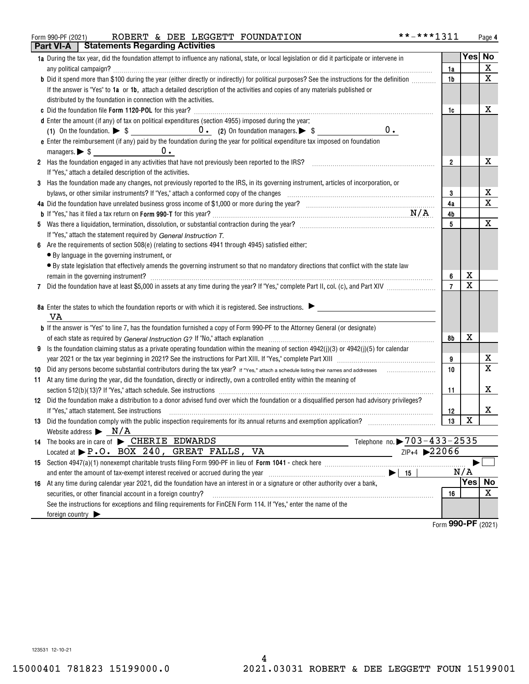### Form 990-PF (2021) ROBERT & DEE LEGGETT FOUNDATION \* \*-\*\*\*1311 Page ROBERT & DEE LEGGETT FOUNDATION \*\*-\*\*\*1311

| **-***1311<br>Page 4 |
|----------------------|
|----------------------|

|    | Part VI-A                             | <b>Statements Regarding Activities</b>                                                                                                                                             |                |                  |                    |
|----|---------------------------------------|------------------------------------------------------------------------------------------------------------------------------------------------------------------------------------|----------------|------------------|--------------------|
|    |                                       | 1a During the tax year, did the foundation attempt to influence any national, state, or local legislation or did it participate or intervene in                                    |                |                  | Yes No             |
|    |                                       |                                                                                                                                                                                    | 1a             |                  | X                  |
|    |                                       | b Did it spend more than \$100 during the year (either directly or indirectly) for political purposes? See the instructions for the definition                                     | 1b             |                  | X                  |
|    |                                       | If the answer is "Yes" to 1a or 1b, attach a detailed description of the activities and copies of any materials published or                                                       |                |                  |                    |
|    |                                       | distributed by the foundation in connection with the activities.                                                                                                                   |                |                  |                    |
|    |                                       |                                                                                                                                                                                    | 1c             |                  | х                  |
|    |                                       | d Enter the amount (if any) of tax on political expenditures (section 4955) imposed during the year:                                                                               |                |                  |                    |
|    |                                       | 0.                                                                                                                                                                                 |                |                  |                    |
|    |                                       | e Enter the reimbursement (if any) paid by the foundation during the year for political expenditure tax imposed on foundation                                                      |                |                  |                    |
|    |                                       | $0 \cdot$                                                                                                                                                                          |                |                  |                    |
|    |                                       | 2 Has the foundation engaged in any activities that have not previously been reported to the IRS?                                                                                  | $\overline{2}$ |                  | х                  |
|    |                                       | If "Yes," attach a detailed description of the activities.                                                                                                                         |                |                  |                    |
| 3  |                                       | Has the foundation made any changes, not previously reported to the IRS, in its governing instrument, articles of incorporation, or                                                |                |                  |                    |
|    |                                       | bylaws, or other similar instruments? If "Yes," attach a conformed copy of the changes                                                                                             | 3              |                  | х                  |
|    |                                       |                                                                                                                                                                                    | 4a             |                  | X                  |
|    |                                       |                                                                                                                                                                                    | 4b             |                  |                    |
|    |                                       |                                                                                                                                                                                    | 5              |                  | Х                  |
|    |                                       | If "Yes," attach the statement required by General Instruction T.                                                                                                                  |                |                  |                    |
| 6  |                                       | Are the requirements of section 508(e) (relating to sections 4941 through 4945) satisfied either:                                                                                  |                |                  |                    |
|    |                                       | • By language in the governing instrument, or                                                                                                                                      |                |                  |                    |
|    |                                       | • By state legislation that effectively amends the governing instrument so that no mandatory directions that conflict with the state law                                           |                |                  |                    |
|    |                                       |                                                                                                                                                                                    | 6              | х                |                    |
| 7  |                                       |                                                                                                                                                                                    |                | X                |                    |
|    |                                       |                                                                                                                                                                                    |                |                  |                    |
|    |                                       | 8a Enter the states to which the foundation reports or with which it is registered. See instructions.                                                                              |                |                  |                    |
|    | VA                                    |                                                                                                                                                                                    |                |                  |                    |
|    |                                       | <b>b</b> If the answer is "Yes" to line 7, has the foundation furnished a copy of Form 990-PF to the Attorney General (or designate)                                               |                |                  |                    |
|    |                                       |                                                                                                                                                                                    | 8b             | х                |                    |
| 9  |                                       | Is the foundation claiming status as a private operating foundation within the meaning of section 4942(j)(3) or 4942(j)(5) for calendar                                            |                |                  |                    |
|    |                                       |                                                                                                                                                                                    | 9<br>10        |                  | х<br>X             |
| 10 |                                       |                                                                                                                                                                                    |                |                  |                    |
|    |                                       | 11 At any time during the year, did the foundation, directly or indirectly, own a controlled entity within the meaning of                                                          | 11             |                  | х                  |
|    |                                       | 12 Did the foundation make a distribution to a donor advised fund over which the foundation or a disqualified person had advisory privileges?                                      |                |                  |                    |
|    |                                       | If "Yes," attach statement. See instructions                                                                                                                                       | 12             |                  | x                  |
|    |                                       |                                                                                                                                                                                    | 13             | $\mathbf X$      |                    |
|    |                                       | Website address $\triangleright$ $\frac{N/A}{N}$                                                                                                                                   |                |                  |                    |
|    |                                       | Telephone no. > 703-433-2535<br>14 The books are in care of CHERIE EDWARDS                                                                                                         |                |                  |                    |
|    |                                       | VA<br>ZIP+4 22066<br>Located at $\blacktriangleright$ P.O. BOX 240,<br>GREAT FALLS,                                                                                                |                |                  |                    |
|    |                                       |                                                                                                                                                                                    |                |                  |                    |
|    |                                       | 15<br>and enter the amount of tax-exempt interest received or accrued during the year manufactured and enter the amount of tax-exempt interest received or accrued during the year |                | N/A              |                    |
|    |                                       | 16 At any time during calendar year 2021, did the foundation have an interest in or a signature or other authority over a bank,                                                    |                | Yes <sub>1</sub> | <b>No</b>          |
|    |                                       | securities, or other financial account in a foreign country?                                                                                                                       | 16             |                  | х                  |
|    |                                       | See the instructions for exceptions and filing requirements for FinCEN Form 114. If "Yes," enter the name of the                                                                   |                |                  |                    |
|    | foreign country $\blacktriangleright$ |                                                                                                                                                                                    |                |                  |                    |
|    |                                       |                                                                                                                                                                                    |                |                  | Form 990-PF (2021) |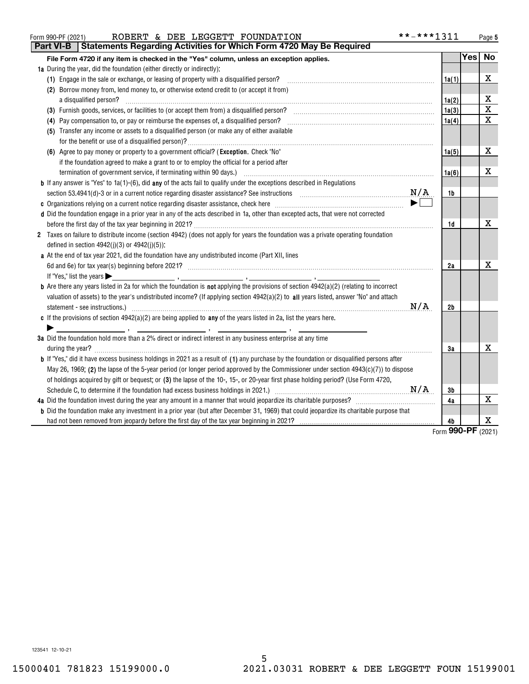| ROBERT & DEE LEGGETT FOUNDATION<br>Form 990-PF (2021)                                                                                                                                                                                                                                             | **-***1311 |                | Page 5               |
|---------------------------------------------------------------------------------------------------------------------------------------------------------------------------------------------------------------------------------------------------------------------------------------------------|------------|----------------|----------------------|
| Statements Regarding Activities for Which Form 4720 May Be Required<br><b>Part VI-B</b>                                                                                                                                                                                                           |            |                |                      |
| File Form 4720 if any item is checked in the "Yes" column, unless an exception applies.                                                                                                                                                                                                           |            |                | Yes No               |
| 1a During the year, did the foundation (either directly or indirectly):                                                                                                                                                                                                                           |            |                |                      |
| (1) Engage in the sale or exchange, or leasing of property with a disqualified person?                                                                                                                                                                                                            |            | 1a(1)          | x                    |
| (2) Borrow money from, lend money to, or otherwise extend credit to (or accept it from)                                                                                                                                                                                                           |            |                |                      |
| a disqualified person?                                                                                                                                                                                                                                                                            |            | 1a(2)          | х                    |
|                                                                                                                                                                                                                                                                                                   |            | 1a(3)          | $\mathbf X$          |
| (4) Pay compensation to, or pay or reimburse the expenses of, a disqualified person?                                                                                                                                                                                                              |            | 1a(4)          | Х                    |
| (5) Transfer any income or assets to a disqualified person (or make any of either available                                                                                                                                                                                                       |            |                |                      |
| (6) Agree to pay money or property to a government official? (Exception. Check "No"                                                                                                                                                                                                               |            | 1a(5)          | х                    |
| if the foundation agreed to make a grant to or to employ the official for a period after                                                                                                                                                                                                          |            |                |                      |
| termination of government service, if terminating within 90 days.) [11] manufacture manufacture manufacture manufacture manufacture manufacture manufacture manufacture manufacture manufacture manufacture manufacture manufa                                                                    |            | 1a(6)          | х                    |
| <b>b</b> If any answer is "Yes" to $1a(1)-(6)$ , did any of the acts fail to qualify under the exceptions described in Regulations                                                                                                                                                                |            |                |                      |
| section 53.4941(d)-3 or in a current notice regarding disaster assistance? See instructions $M/A$                                                                                                                                                                                                 |            | 1b             |                      |
|                                                                                                                                                                                                                                                                                                   |            |                |                      |
| d Did the foundation engage in a prior year in any of the acts described in 1a, other than excepted acts, that were not corrected                                                                                                                                                                 |            |                |                      |
|                                                                                                                                                                                                                                                                                                   |            | 1d             | x                    |
| 2 Taxes on failure to distribute income (section 4942) (does not apply for years the foundation was a private operating foundation<br>defined in section $4942(j)(3)$ or $4942(j)(5)$ :                                                                                                           |            |                |                      |
| a At the end of tax year 2021, did the foundation have any undistributed income (Part XII, lines                                                                                                                                                                                                  |            |                |                      |
|                                                                                                                                                                                                                                                                                                   |            | 2a             | Х                    |
| If "Yes," list the years $\blacktriangleright$                                                                                                                                                                                                                                                    |            |                |                      |
| <b>b</b> Are there any years listed in 2a for which the foundation is <b>not</b> applying the provisions of section $4942(a)(2)$ (relating to incorrect<br>valuation of assets) to the year's undistributed income? (If applying section $4942(a)(2)$ to all years listed, answer "No" and attach |            |                |                      |
|                                                                                                                                                                                                                                                                                                   | N/A        | 2 <sub>b</sub> |                      |
| c If the provisions of section $4942(a)(2)$ are being applied to any of the years listed in 2a, list the years here.                                                                                                                                                                              |            |                |                      |
|                                                                                                                                                                                                                                                                                                   |            |                |                      |
| 3a Did the foundation hold more than a 2% direct or indirect interest in any business enterprise at any time                                                                                                                                                                                      |            |                |                      |
| during the year? <b>With the contract of the year?</b>                                                                                                                                                                                                                                            |            | 3a             | X                    |
| <b>b</b> If "Yes," did it have excess business holdings in 2021 as a result of (1) any purchase by the foundation or disqualified persons after                                                                                                                                                   |            |                |                      |
| May 26, 1969; (2) the lapse of the 5-year period (or longer period approved by the Commissioner under section 4943(c)(7)) to dispose                                                                                                                                                              |            |                |                      |
| of holdings acquired by gift or bequest; or (3) the lapse of the 10-, 15-, or 20-year first phase holding period? (Use Form 4720,                                                                                                                                                                 |            |                |                      |
|                                                                                                                                                                                                                                                                                                   |            | 3b             |                      |
|                                                                                                                                                                                                                                                                                                   |            | 4a             | X                    |
| <b>b</b> Did the foundation make any investment in a prior year (but after December 31, 1969) that could jeopardize its charitable purpose that                                                                                                                                                   |            |                |                      |
|                                                                                                                                                                                                                                                                                                   |            | 4b             | Х                    |
|                                                                                                                                                                                                                                                                                                   |            |                | $Eorm$ 990-PF (2021) |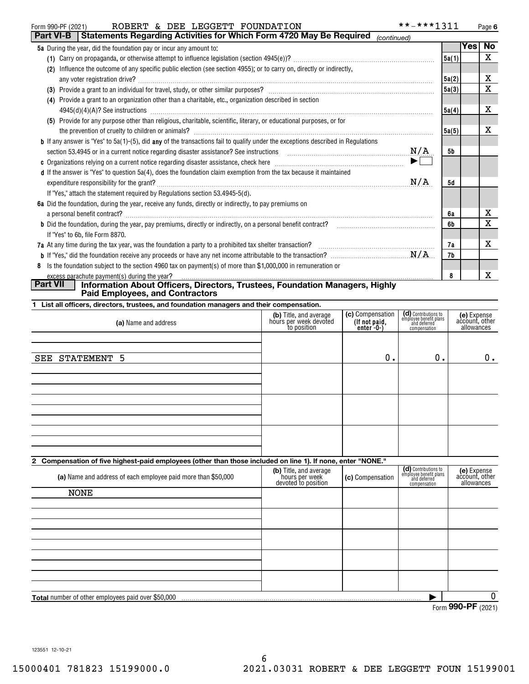| Part VI-B<br><b>Statements Regarding Activities for Which Form 4720 May Be Required</b><br>(continued)<br><b>Yes</b><br><b>No</b><br>5a During the year, did the foundation pay or incur any amount to:<br>X<br>5a(1)<br>Influence the outcome of any specific public election (see section 4955); or to carry on, directly or indirectly,<br>(2)<br>х<br>5a(2)<br>X<br>5a(3)<br>(4) Provide a grant to an organization other than a charitable, etc., organization described in section<br>х<br>5a(4)<br>(5) Provide for any purpose other than religious, charitable, scientific, literary, or educational purposes, or for<br>х<br>5a(5) |
|---------------------------------------------------------------------------------------------------------------------------------------------------------------------------------------------------------------------------------------------------------------------------------------------------------------------------------------------------------------------------------------------------------------------------------------------------------------------------------------------------------------------------------------------------------------------------------------------------------------------------------------------|
|                                                                                                                                                                                                                                                                                                                                                                                                                                                                                                                                                                                                                                             |
|                                                                                                                                                                                                                                                                                                                                                                                                                                                                                                                                                                                                                                             |
|                                                                                                                                                                                                                                                                                                                                                                                                                                                                                                                                                                                                                                             |
|                                                                                                                                                                                                                                                                                                                                                                                                                                                                                                                                                                                                                                             |
|                                                                                                                                                                                                                                                                                                                                                                                                                                                                                                                                                                                                                                             |
|                                                                                                                                                                                                                                                                                                                                                                                                                                                                                                                                                                                                                                             |
|                                                                                                                                                                                                                                                                                                                                                                                                                                                                                                                                                                                                                                             |
|                                                                                                                                                                                                                                                                                                                                                                                                                                                                                                                                                                                                                                             |
|                                                                                                                                                                                                                                                                                                                                                                                                                                                                                                                                                                                                                                             |
|                                                                                                                                                                                                                                                                                                                                                                                                                                                                                                                                                                                                                                             |
| <b>b</b> If any answer is "Yes" to 5a(1)-(5), did any of the transactions fail to qualify under the exceptions described in Regulations                                                                                                                                                                                                                                                                                                                                                                                                                                                                                                     |
| section 53.4945 or in a current notice regarding disaster assistance? See instructions $M/A$<br>5b                                                                                                                                                                                                                                                                                                                                                                                                                                                                                                                                          |
| $\blacktriangleright$ $\Box$                                                                                                                                                                                                                                                                                                                                                                                                                                                                                                                                                                                                                |
| <b>d</b> If the answer is "Yes" to question 5a(4), does the foundation claim exemption from the tax because it maintained                                                                                                                                                                                                                                                                                                                                                                                                                                                                                                                   |
| N/A<br>5d                                                                                                                                                                                                                                                                                                                                                                                                                                                                                                                                                                                                                                   |
| If "Yes," attach the statement required by Regulations section 53.4945-5(d).                                                                                                                                                                                                                                                                                                                                                                                                                                                                                                                                                                |
| 6a Did the foundation, during the year, receive any funds, directly or indirectly, to pay premiums on                                                                                                                                                                                                                                                                                                                                                                                                                                                                                                                                       |
| х<br>6а                                                                                                                                                                                                                                                                                                                                                                                                                                                                                                                                                                                                                                     |
| X<br><b>b</b> Did the foundation, during the year, pay premiums, directly or indirectly, on a personal benefit contract?<br>6b                                                                                                                                                                                                                                                                                                                                                                                                                                                                                                              |
| If "Yes" to 6b, file Form 8870.                                                                                                                                                                                                                                                                                                                                                                                                                                                                                                                                                                                                             |
| x<br>7а<br>7a At any time during the tax year, was the foundation a party to a prohibited tax shelter transaction?                                                                                                                                                                                                                                                                                                                                                                                                                                                                                                                          |
| 7b                                                                                                                                                                                                                                                                                                                                                                                                                                                                                                                                                                                                                                          |
| Is the foundation subject to the section 4960 tax on payment(s) of more than \$1,000,000 in remuneration or<br>8                                                                                                                                                                                                                                                                                                                                                                                                                                                                                                                            |
| x<br>8<br>excess parachute payment(s) during the year?<br><b>Part VII</b><br>Information About Officers, Directors, Trustees, Foundation Managers, Highly                                                                                                                                                                                                                                                                                                                                                                                                                                                                                   |

**Paid Employees, and Contractors**

**1 List all officers, directors, trustees, and foundation managers and their compensation.**

| (a) Name and address | (b) Title, and average<br>hours per week devoted<br>to position | (c) Compensation<br>(If not paid,<br>enter -0-) | (d) Contributions to<br>employee benefit plans<br>and deferred<br>compensation | (e) Expense<br>account, other<br>allowances |
|----------------------|-----------------------------------------------------------------|-------------------------------------------------|--------------------------------------------------------------------------------|---------------------------------------------|
| SEE STATEMENT 5      |                                                                 | 0.                                              | 0.                                                                             | 0.                                          |
|                      |                                                                 |                                                 |                                                                                |                                             |
|                      |                                                                 |                                                 |                                                                                |                                             |
|                      |                                                                 |                                                 |                                                                                |                                             |

# **2 Compensation of five highest-paid employees (other than those included on line 1). If none, enter "NONE."**

| (a) Name and address of each employee paid more than \$50,000 | (b) Title, and average<br>hours per week<br>devoted to position | (c) Compensation | (d) Contributions to<br>employee benefit plans<br>and deferred<br>compensation | (e) Expense<br>account, other<br>allowances |
|---------------------------------------------------------------|-----------------------------------------------------------------|------------------|--------------------------------------------------------------------------------|---------------------------------------------|
| <b>NONE</b>                                                   |                                                                 |                  |                                                                                |                                             |
|                                                               |                                                                 |                  |                                                                                |                                             |
|                                                               |                                                                 |                  |                                                                                |                                             |
|                                                               |                                                                 |                  |                                                                                |                                             |
|                                                               |                                                                 |                  |                                                                                |                                             |
|                                                               |                                                                 |                  |                                                                                |                                             |
|                                                               |                                                                 |                  |                                                                                |                                             |
|                                                               |                                                                 |                  |                                                                                |                                             |
|                                                               |                                                                 |                  |                                                                                |                                             |
|                                                               |                                                                 |                  |                                                                                |                                             |
| <b>Total</b> number of other employees paid over \$50,000     |                                                                 |                  |                                                                                | 0                                           |
|                                                               |                                                                 |                  |                                                                                | $0.00 \text{ } \text{D}$                    |

| Form 990-PF (2021) |  |
|--------------------|--|
|--------------------|--|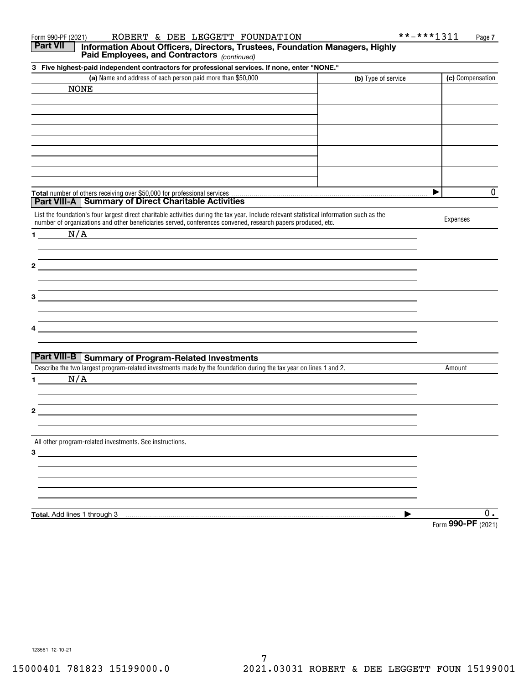| Form 990-PF (2021)           | ROBERT & DEE LEGGETT FOUNDATION                                                                                                                                                                                               | **-***1311          | Page 7             |
|------------------------------|-------------------------------------------------------------------------------------------------------------------------------------------------------------------------------------------------------------------------------|---------------------|--------------------|
| <b>Part VII</b>              | Information About Officers, Directors, Trustees, Foundation Managers, Highly<br>Paid Employees, and Contractors (continued)                                                                                                   |                     |                    |
|                              | 3 Five highest-paid independent contractors for professional services. If none, enter "NONE."                                                                                                                                 |                     |                    |
|                              | (a) Name and address of each person paid more than \$50,000                                                                                                                                                                   | (b) Type of service | (c) Compensation   |
| <b>NONE</b>                  |                                                                                                                                                                                                                               |                     |                    |
|                              |                                                                                                                                                                                                                               |                     |                    |
|                              |                                                                                                                                                                                                                               |                     |                    |
|                              |                                                                                                                                                                                                                               |                     |                    |
|                              |                                                                                                                                                                                                                               |                     |                    |
|                              |                                                                                                                                                                                                                               |                     |                    |
|                              |                                                                                                                                                                                                                               |                     |                    |
|                              |                                                                                                                                                                                                                               |                     |                    |
|                              |                                                                                                                                                                                                                               | ▶                   | 0                  |
|                              | <b>Part VIII-A   Summary of Direct Charitable Activities</b>                                                                                                                                                                  |                     |                    |
|                              | List the foundation's four largest direct charitable activities during the tax year. Include relevant statistical information such as the                                                                                     |                     |                    |
|                              | number of organizations and other beneficiaries served, conferences convened, research papers produced, etc.                                                                                                                  |                     | Expenses           |
| N/A<br>$1 \quad \cdots$      |                                                                                                                                                                                                                               |                     |                    |
|                              |                                                                                                                                                                                                                               |                     |                    |
| $\mathbf{2}$                 |                                                                                                                                                                                                                               |                     |                    |
|                              |                                                                                                                                                                                                                               |                     |                    |
|                              |                                                                                                                                                                                                                               |                     |                    |
| 3                            | <u> 1989 - John Stein, Amerikaansk politiker (</u>                                                                                                                                                                            |                     |                    |
|                              |                                                                                                                                                                                                                               |                     |                    |
|                              | the control of the control of the control of the control of the control of the control of the control of the control of the control of the control of the control of the control of the control of the control of the control |                     |                    |
|                              |                                                                                                                                                                                                                               |                     |                    |
|                              |                                                                                                                                                                                                                               |                     |                    |
|                              | Part VIII-B   Summary of Program-Related Investments                                                                                                                                                                          |                     |                    |
|                              | Describe the two largest program-related investments made by the foundation during the tax year on lines 1 and 2.                                                                                                             |                     | Amount             |
| N/A<br>$\mathbf 1$           |                                                                                                                                                                                                                               |                     |                    |
|                              |                                                                                                                                                                                                                               |                     |                    |
|                              |                                                                                                                                                                                                                               |                     |                    |
|                              |                                                                                                                                                                                                                               |                     |                    |
|                              |                                                                                                                                                                                                                               |                     |                    |
| $3 \qquad \qquad$            | All other program-related investments. See instructions.                                                                                                                                                                      |                     |                    |
|                              |                                                                                                                                                                                                                               |                     |                    |
|                              |                                                                                                                                                                                                                               |                     |                    |
|                              |                                                                                                                                                                                                                               |                     |                    |
|                              |                                                                                                                                                                                                                               |                     |                    |
|                              |                                                                                                                                                                                                                               | ▶                   | $0$ .              |
| Total. Add lines 1 through 3 |                                                                                                                                                                                                                               |                     | Form 990-PF (2021) |
|                              |                                                                                                                                                                                                                               |                     |                    |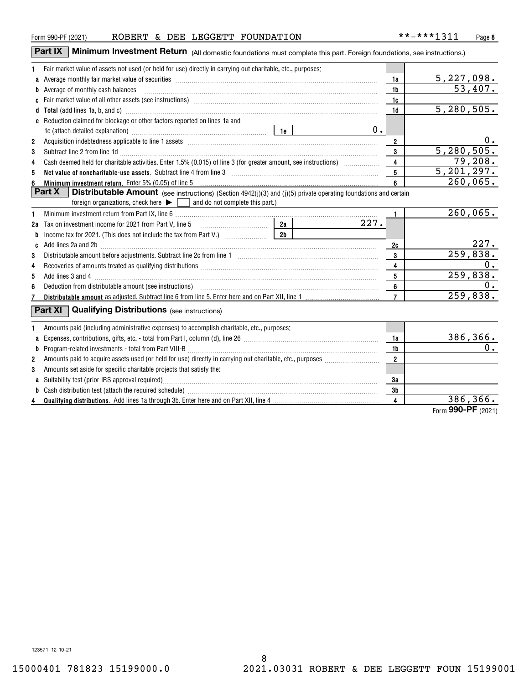## Form 990-PF (2021) ROBERT & DEE LEGGETT FOUNDATION \*\*-\*\*\*1311 Page

**Part IX** | Minimum Investment Return (All domestic foundations must complete this part. Foreign foundations, see instructions.)

| 1              | Fair market value of assets not used (or held for use) directly in carrying out charitable, etc., purposes:                                                                                                                    |                         |                |                         |
|----------------|--------------------------------------------------------------------------------------------------------------------------------------------------------------------------------------------------------------------------------|-------------------------|----------------|-------------------------|
|                |                                                                                                                                                                                                                                |                         | 1a             | <u>5,227,098.</u>       |
|                | <b>b</b> Average of monthly cash balances                                                                                                                                                                                      |                         | 1b             | 53,407.                 |
|                |                                                                                                                                                                                                                                |                         | 1c             |                         |
|                | d Total (add lines 1a, b, and c) manufactured and control of the control of the control of the control of the control of the control of the control of the control of the control of the control of the control of the control |                         | 1d             | 5,280,505.              |
|                | e Reduction claimed for blockage or other factors reported on lines 1a and                                                                                                                                                     |                         |                |                         |
|                | 1c (attach detailed explanation) $\frac{1}{16}$ = 1e                                                                                                                                                                           | $0$ .                   |                |                         |
| $\overline{2}$ | Acquisition indebtedness applicable to line 1 assets [11] matter content in the state of the state of the state of the state of the state of the state of the state of the state of the state of the state of the state of the |                         | $\overline{2}$ | 0.                      |
| 3              | Subtract line 2 from line 1d <b>Machinese and Contract Line 2</b> from line 1d <b>machinese and contract line 2</b> from line 1d                                                                                               |                         | $\mathbf{3}$   | 5, 280, 505.            |
| 4              | Cash deemed held for charitable activities. Enter 1.5% (0.015) of line 3 (for greater amount, see instructions)                                                                                                                |                         | $\overline{4}$ | 79,208.                 |
| 5              | Net value of noncharitable-use assets. Subtract line 4 from line 3 [11] manufacture contract the contract of noncharitable-use assets. Subtract line 4 from line 3                                                             |                         | 5              | $\overline{5,201,297.}$ |
| 6              | Minimum investment return. Enter 5% (0.05) of line 5                                                                                                                                                                           |                         | $6\phantom{a}$ | $260,065$ .             |
|                | <b>Part X</b><br><b>Distributable Amount</b> (see instructions) (Section 4942(j)(3) and (j)(5) private operating foundations and certain                                                                                       |                         |                |                         |
|                | foreign organizations, check here $\blacktriangleright \Box$ and do not complete this part.)                                                                                                                                   |                         |                |                         |
| 1              |                                                                                                                                                                                                                                |                         | 1.             | 260,065.                |
|                |                                                                                                                                                                                                                                | 227.                    |                |                         |
| b              |                                                                                                                                                                                                                                | 2b                      |                |                         |
|                | c Add lines 2a and 2b [11] matter contract the contract of the contract of the contract of the contract of the contract of the contract of the contract of the contract of the contract of the contract of the contract of the |                         | 2c             | 227.                    |
| 3              |                                                                                                                                                                                                                                |                         | 3              | 259,838.                |
| 4              |                                                                                                                                                                                                                                |                         | 4              | 0.                      |
| 5              |                                                                                                                                                                                                                                |                         | 5              | 259,838.                |
| 6              |                                                                                                                                                                                                                                |                         | 6              | 0.                      |
|                |                                                                                                                                                                                                                                |                         | $\overline{7}$ | 259,838.                |
|                | Part XI<br><b>Qualifying Distributions</b> (see instructions)                                                                                                                                                                  |                         |                |                         |
|                | Amounts paid (including administrative expenses) to accomplish charitable, etc., purposes:                                                                                                                                     |                         |                |                         |
| a              |                                                                                                                                                                                                                                |                         | 1a             | 386,366.                |
| b              |                                                                                                                                                                                                                                |                         |                | 0.                      |
| $\overline{2}$ |                                                                                                                                                                                                                                | $\overline{\mathbf{2}}$ |                |                         |
| 3              | Amounts set aside for specific charitable projects that satisfy the:                                                                                                                                                           |                         |                |                         |
| a              | Suitability test (prior IRS approval required)                                                                                                                                                                                 |                         | 3a             |                         |
|                |                                                                                                                                                                                                                                |                         | 3b             |                         |
| 4              |                                                                                                                                                                                                                                |                         | $\overline{4}$ | 386,366.                |
|                |                                                                                                                                                                                                                                |                         |                |                         |

8 15000401 781823 15199000.0 2021.03031 ROBERT & DEE LEGGETT FOUN 15199001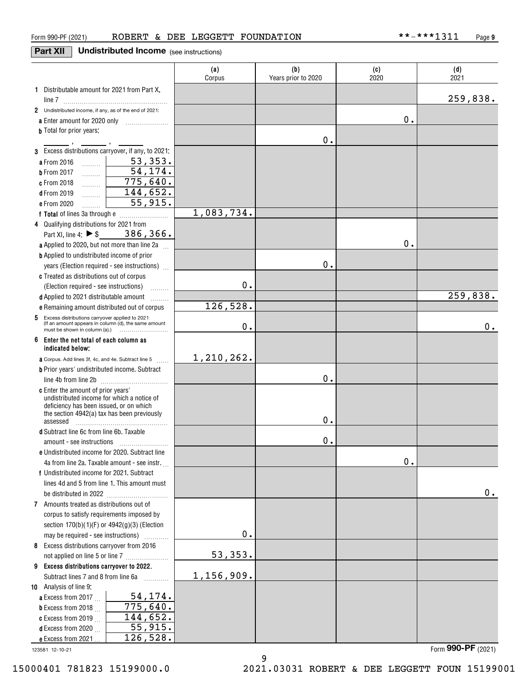## **Part XII** Undistributed Income (see instructions)

|                                                                                                          | (a)<br>Corpus | (b)<br>Years prior to 2020 | (c)<br>2020 | (d)<br>2021 |
|----------------------------------------------------------------------------------------------------------|---------------|----------------------------|-------------|-------------|
| 1 Distributable amount for 2021 from Part X,                                                             |               |                            |             |             |
|                                                                                                          |               |                            |             | 259,838.    |
| 2 Undistributed income, if any, as of the end of 2021:                                                   |               |                            |             |             |
| a Enter amount for 2020 only                                                                             |               |                            | 0.          |             |
| <b>b</b> Total for prior years:                                                                          |               | 0.                         |             |             |
| 3 Excess distributions carryover, if any, to 2021:                                                       |               |                            |             |             |
| 53,353.<br>a From 2016<br>المستنب                                                                        |               |                            |             |             |
| $\overline{54,174}$ .<br><b>b</b> From 2017                                                              |               |                            |             |             |
| .<br>775,640.<br>c From 2018                                                                             |               |                            |             |             |
| .<br>144,652.<br><b>d</b> From 2019                                                                      |               |                            |             |             |
| .<br>$\overline{55,915}$ .<br>e From 2020                                                                |               |                            |             |             |
| .                                                                                                        | 1,083,734.    |                            |             |             |
| 4 Qualifying distributions for 2021 from                                                                 |               |                            |             |             |
| Part XI, line 4: ▶ \$ 386, 366.                                                                          |               |                            |             |             |
| a Applied to 2020, but not more than line 2a                                                             |               |                            | 0.          |             |
| <b>b</b> Applied to undistributed income of prior                                                        |               |                            |             |             |
| years (Election required - see instructions)                                                             |               | 0.                         |             |             |
| c Treated as distributions out of corpus                                                                 |               |                            |             |             |
| (Election required - see instructions)                                                                   | 0.            |                            |             |             |
| d Applied to 2021 distributable amount<br>.                                                              |               |                            |             | 259,838.    |
| e Remaining amount distributed out of corpus                                                             | 126, 528.     |                            |             |             |
| 5 Excess distributions carryover applied to 2021<br>(If an amount appears in column (d), the same amount |               |                            |             |             |
| 6 Enter the net total of each column as                                                                  | 0.            |                            |             | $0$ .       |
| indicated below;                                                                                         | 1,210,262.    |                            |             |             |
| <b>a</b> Corpus. Add lines 3f, 4c, and 4e. Subtract line 5                                               |               |                            |             |             |
| <b>b</b> Prior years' undistributed income. Subtract                                                     |               | 0.                         |             |             |
| <b>c</b> Enter the amount of prior years'                                                                |               |                            |             |             |
| undistributed income for which a notice of                                                               |               |                            |             |             |
| deficiency has been issued, or on which<br>the section 4942(a) tax has been previously                   |               |                            |             |             |
| assessed                                                                                                 |               | 0.                         |             |             |
| d Subtract line 6c from line 6b. Taxable                                                                 |               |                            |             |             |
|                                                                                                          |               | 0.                         |             |             |
| e Undistributed income for 2020. Subtract line                                                           |               |                            |             |             |
| 4a from line 2a. Taxable amount - see instr.                                                             |               |                            | 0.          |             |
| f Undistributed income for 2021. Subtract                                                                |               |                            |             |             |
| lines 4d and 5 from line 1. This amount must                                                             |               |                            |             |             |
| be distributed in 2022                                                                                   |               |                            |             | 0.          |
| 7 Amounts treated as distributions out of                                                                |               |                            |             |             |
| corpus to satisfy requirements imposed by                                                                |               |                            |             |             |
| section 170(b)(1)(F) or 4942(g)(3) (Election                                                             |               |                            |             |             |
| may be required - see instructions)                                                                      | 0.            |                            |             |             |
| 8 Excess distributions carryover from 2016                                                               |               |                            |             |             |
| not applied on line 5 or line 7                                                                          | 53,353.       |                            |             |             |
| 9 Excess distributions carryover to 2022.                                                                |               |                            |             |             |
| Subtract lines 7 and 8 from line 6a                                                                      | 1,156,909.    |                            |             |             |
| 10 Analysis of line 9:                                                                                   |               |                            |             |             |
| 54, 174.<br>a Excess from 2017<br>775,640.                                                               |               |                            |             |             |
| <b>b</b> Excess from 2018 $\ldots$<br>144,652.                                                           |               |                            |             |             |
| c Excess from 2019<br>55,915.<br><b>d</b> Excess from 2020                                               |               |                            |             |             |
| 126,528.<br>e Excess from 2021.                                                                          |               |                            |             |             |

9

123581 12-10-21

Form (2021) **990-PF**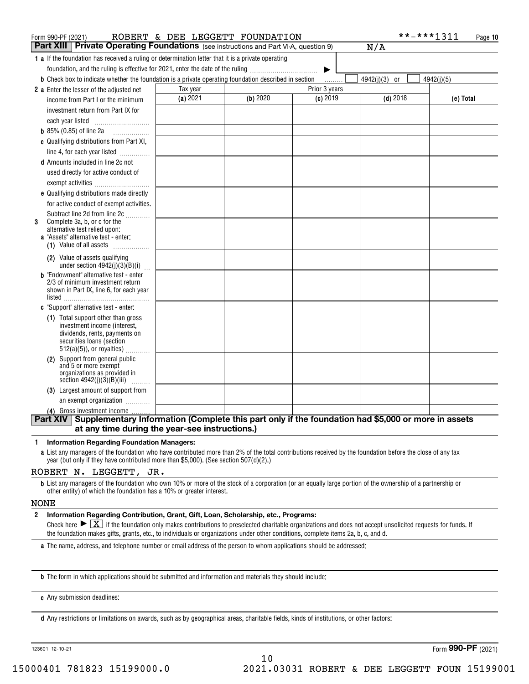| Form 990-PF (2021)                                                                                                                                   | ROBERT & DEE LEGGETT FOUNDATION |          |               | **-***1311      | Page 10    |
|------------------------------------------------------------------------------------------------------------------------------------------------------|---------------------------------|----------|---------------|-----------------|------------|
| <b>Part XIII Private Operating Foundations</b> (see instructions and Part VI-A, question 9)                                                          |                                 |          |               | N/A             |            |
| <b>1</b> a If the foundation has received a ruling or determination letter that it is a private operating                                            |                                 |          |               |                 |            |
| foundation, and the ruling is effective for 2021, enter the date of the ruling                                                                       |                                 |          | ▶             |                 |            |
| <b>b</b> Check box to indicate whether the foundation is a private operating foundation described in section                                         |                                 |          | 1.1.1.1.1.1   | $4942(j)(3)$ or | 4942(j)(5) |
| 2 a Enter the lesser of the adjusted net                                                                                                             | Tax year                        |          | Prior 3 years |                 |            |
| income from Part I or the minimum                                                                                                                    | (a) 2021                        | (b) 2020 | $(c)$ 2019    | $(d)$ 2018      | (e) Total  |
| investment return from Part IX for                                                                                                                   |                                 |          |               |                 |            |
|                                                                                                                                                      |                                 |          |               |                 |            |
| <b>b</b> 85% (0.85) of line 2a                                                                                                                       |                                 |          |               |                 |            |
| c Qualifying distributions from Part XI,                                                                                                             |                                 |          |               |                 |            |
| line 4, for each year listed                                                                                                                         |                                 |          |               |                 |            |
| <b>d</b> Amounts included in line 2c not                                                                                                             |                                 |          |               |                 |            |
| used directly for active conduct of                                                                                                                  |                                 |          |               |                 |            |
| exempt activities                                                                                                                                    |                                 |          |               |                 |            |
| e Qualifying distributions made directly                                                                                                             |                                 |          |               |                 |            |
| for active conduct of exempt activities.                                                                                                             |                                 |          |               |                 |            |
| Subtract line 2d from line 2c                                                                                                                        |                                 |          |               |                 |            |
| Complete 3a, b, or c for the<br>3<br>alternative test relied upon:                                                                                   |                                 |          |               |                 |            |
| <b>a</b> "Assets" alternative test - enter:                                                                                                          |                                 |          |               |                 |            |
| (1) Value of all assets $\ldots$                                                                                                                     |                                 |          |               |                 |            |
| (2) Value of assets qualifying                                                                                                                       |                                 |          |               |                 |            |
| under section $4942(j)(3)(B)(i)$                                                                                                                     |                                 |          |               |                 |            |
| <b>b</b> "Endowment" alternative test - enter<br>2/3 of minimum investment return                                                                    |                                 |          |               |                 |            |
| shown in Part IX, line 6, for each year                                                                                                              |                                 |          |               |                 |            |
|                                                                                                                                                      |                                 |          |               |                 |            |
| c "Support" alternative test - enter:                                                                                                                |                                 |          |               |                 |            |
| (1) Total support other than gross                                                                                                                   |                                 |          |               |                 |            |
| investment income (interest,<br>dividends, rents, payments on                                                                                        |                                 |          |               |                 |            |
| securities loans (section                                                                                                                            |                                 |          |               |                 |            |
| $512(a)(5)$ , or royalties)                                                                                                                          |                                 |          |               |                 |            |
| (2) Support from general public<br>and 5 or more exempt                                                                                              |                                 |          |               |                 |            |
| organizations as provided in                                                                                                                         |                                 |          |               |                 |            |
| section $4942(j)(3)(B)(iii)$<br>.                                                                                                                    |                                 |          |               |                 |            |
| (3) Largest amount of support from                                                                                                                   |                                 |          |               |                 |            |
| an exempt organization                                                                                                                               |                                 |          |               |                 |            |
| (4) Gross investment income<br>Supplementary Information (Complete this part only if the foundation had \$5,000 or more in assets<br><b>Part XIV</b> |                                 |          |               |                 |            |
| at any time during the year-see instructions.)                                                                                                       |                                 |          |               |                 |            |
|                                                                                                                                                      |                                 |          |               |                 |            |

### **1Information Regarding Foundation Managers:**

**a**List any managers of the foundation who have contributed more than 2% of the total contributions received by the foundation before the close of any tax year (but only if they have contributed more than \$5,000). (See section 507(d)(2).)

## ROBERT N. LEGGETT, JR.

**b**List any managers of the foundation who own 10% or more of the stock of a corporation (or an equally large portion of the ownership of a partnership or other entity) of which the foundation has a 10% or greater interest.

### NONE

### **2Information Regarding Contribution, Grant, Gift, Loan, Scholarship, etc., Programs:**

Check here  $\blacktriangleright\boxed{\textbf{X}}$  if the foundation only makes contributions to preselected charitable organizations and does not accept unsolicited requests for funds. If the foundation makes gifts, grants, etc., to individuals or organizations under other conditions, complete items 2a, b, c, and d.

10

**a**The name, address, and telephone number or email address of the person to whom applications should be addressed:

**b**The form in which applications should be submitted and information and materials they should include:

**c**Any submission deadlines:

**d** Any restrictions or limitations on awards, such as by geographical areas, charitable fields, kinds of institutions, or other factors: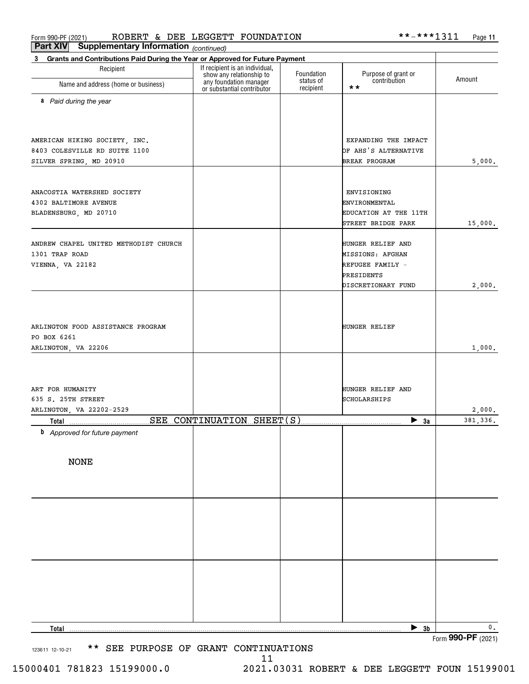*(continued)* **Part XIV Supplementary Information**

| Grants and Contributions Paid During the Year or Approved for Future Payment<br>3 |                                                                                                                    |                         |                                              |                    |
|-----------------------------------------------------------------------------------|--------------------------------------------------------------------------------------------------------------------|-------------------------|----------------------------------------------|--------------------|
| Recipient<br>Name and address (home or business)                                  | If recipient is an individual,<br>show any relationship to<br>any foundation manager<br>or substantial contributor | Foundation<br>status of | Purpose of grant or<br>contribution<br>$***$ | Amount             |
|                                                                                   |                                                                                                                    | recipient               |                                              |                    |
| a Paid during the year                                                            |                                                                                                                    |                         |                                              |                    |
|                                                                                   |                                                                                                                    |                         |                                              |                    |
| AMERICAN HIKING SOCIETY, INC.                                                     |                                                                                                                    |                         | EXPANDING THE IMPACT                         |                    |
| 8403 COLESVILLE RD SUITE 1100                                                     |                                                                                                                    |                         | OF AHS'S ALTERNATIVE                         |                    |
| SILVER SPRING, MD 20910                                                           |                                                                                                                    |                         | BREAK PROGRAM                                | 5,000.             |
| ANACOSTIA WATERSHED SOCIETY                                                       |                                                                                                                    |                         | ENVISIONING                                  |                    |
| 4302 BALTIMORE AVENUE                                                             |                                                                                                                    |                         | ENVIRONMENTAL                                |                    |
| BLADENSBURG, MD 20710                                                             |                                                                                                                    |                         | EDUCATION AT THE 11TH                        |                    |
|                                                                                   |                                                                                                                    |                         | STREET BRIDGE PARK                           | 15,000.            |
| ANDREW CHAPEL UNITED METHODIST CHURCH                                             |                                                                                                                    |                         | HUNGER RELIEF AND                            |                    |
| 1301 TRAP ROAD                                                                    |                                                                                                                    |                         | <b>MISSIONS: AFGHAN</b>                      |                    |
| VIENNA, VA 22182                                                                  |                                                                                                                    |                         | REFUGEE FAMILY -                             |                    |
|                                                                                   |                                                                                                                    |                         | PRESIDENTS<br>DISCRETIONARY FUND             | 2,000.             |
|                                                                                   |                                                                                                                    |                         |                                              |                    |
|                                                                                   |                                                                                                                    |                         |                                              |                    |
| ARLINGTON FOOD ASSISTANCE PROGRAM                                                 |                                                                                                                    |                         | <b>HUNGER RELIEF</b>                         |                    |
| PO BOX 6261<br>ARLINGTON, VA 22206                                                |                                                                                                                    |                         |                                              | 1,000.             |
|                                                                                   |                                                                                                                    |                         |                                              |                    |
|                                                                                   |                                                                                                                    |                         |                                              |                    |
| ART FOR HUMANITY                                                                  |                                                                                                                    |                         | HUNGER RELIEF AND                            |                    |
| 635 S. 25TH STREET                                                                |                                                                                                                    |                         | SCHOLARSHIPS                                 |                    |
| ARLINGTON, VA 22202-2529                                                          | SEE CONTINUATION SHEET(S)                                                                                          |                         | $\blacktriangleright$ 3a                     | 2,000.<br>381,336. |
| <b>b</b> Approved for future payment                                              |                                                                                                                    |                         |                                              |                    |
|                                                                                   |                                                                                                                    |                         |                                              |                    |
| <b>NONE</b>                                                                       |                                                                                                                    |                         |                                              |                    |
|                                                                                   |                                                                                                                    |                         |                                              |                    |
|                                                                                   |                                                                                                                    |                         |                                              |                    |
|                                                                                   |                                                                                                                    |                         |                                              |                    |
|                                                                                   |                                                                                                                    |                         |                                              |                    |
|                                                                                   |                                                                                                                    |                         |                                              |                    |
|                                                                                   |                                                                                                                    |                         |                                              |                    |
|                                                                                   |                                                                                                                    |                         |                                              |                    |
|                                                                                   |                                                                                                                    |                         |                                              |                    |
|                                                                                   |                                                                                                                    |                         |                                              |                    |
| Total                                                                             |                                                                                                                    |                         | $\triangleright$ 3b                          | 0.                 |
|                                                                                   |                                                                                                                    |                         |                                              | Form 990-PF (2021) |

123611 12-10-21 \*\* SEE PURPOSE OF GRANT CONTINUATIONS

11

15000401 781823 15199000.0 2021.03031 ROBERT & DEE LEGGETT FOUN 15199001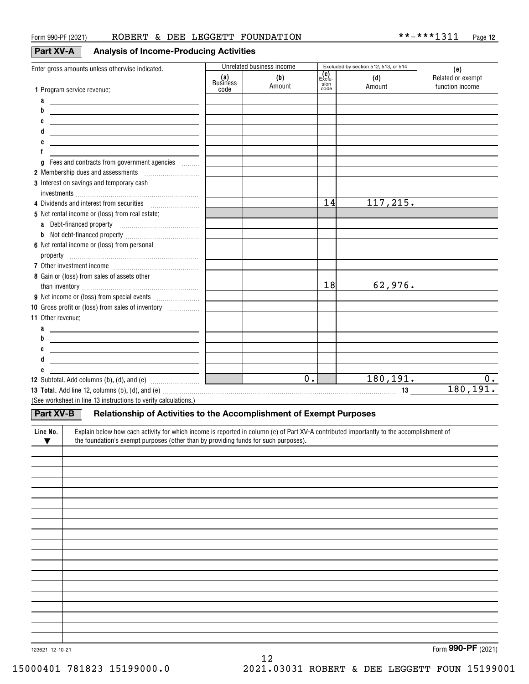# **Part XV-A Analysis of Income-Producing Activities**

| Enter gross amounts unless otherwise indicated.                                                                                                                                                                                                                                                                                                                                                                                                                      |                 | Unrelated business income |                      | Excluded by section 512, 513, or 514 | (e)               |
|----------------------------------------------------------------------------------------------------------------------------------------------------------------------------------------------------------------------------------------------------------------------------------------------------------------------------------------------------------------------------------------------------------------------------------------------------------------------|-----------------|---------------------------|----------------------|--------------------------------------|-------------------|
|                                                                                                                                                                                                                                                                                                                                                                                                                                                                      | (a)<br>Business | (b)                       | <b>(C)</b><br>Exclu- | (d)                                  | Related or exempt |
| 1 Program service revenue:                                                                                                                                                                                                                                                                                                                                                                                                                                           | code            | Amount                    | sion<br>code         | Amount                               | function income   |
| a                                                                                                                                                                                                                                                                                                                                                                                                                                                                    |                 |                           |                      |                                      |                   |
| <u> 1989 - Johann John Stone, mars eta biztanleria (</u><br>b                                                                                                                                                                                                                                                                                                                                                                                                        |                 |                           |                      |                                      |                   |
| <u> 1989 - Johann Barn, mars ann an t-Amhain Aonaichte ann an t-Aonaichte ann an t-Aonaichte ann an t-Aonaichte a</u><br>C                                                                                                                                                                                                                                                                                                                                           |                 |                           |                      |                                      |                   |
| <u> 1989 - Johann Barn, amerikansk politiker (d. 1989)</u>                                                                                                                                                                                                                                                                                                                                                                                                           |                 |                           |                      |                                      |                   |
| <u> 1989 - Johann Barn, mars and de Branch Barn, mars and de Branch Barn, mars and de Branch Barn, mars and de Br</u>                                                                                                                                                                                                                                                                                                                                                |                 |                           |                      |                                      |                   |
| <u> 1989 - Johann John Stone, markin fizikar (</u>                                                                                                                                                                                                                                                                                                                                                                                                                   |                 |                           |                      |                                      |                   |
| Fees and contracts from government agencies                                                                                                                                                                                                                                                                                                                                                                                                                          |                 |                           |                      |                                      |                   |
| g                                                                                                                                                                                                                                                                                                                                                                                                                                                                    |                 |                           |                      |                                      |                   |
| 2 Membership dues and assessments [111] Membership dues and assessments                                                                                                                                                                                                                                                                                                                                                                                              |                 |                           |                      |                                      |                   |
| 3 Interest on savings and temporary cash                                                                                                                                                                                                                                                                                                                                                                                                                             |                 |                           |                      |                                      |                   |
|                                                                                                                                                                                                                                                                                                                                                                                                                                                                      |                 |                           | 14                   | 117,215.                             |                   |
| 4 Dividends and interest from securities                                                                                                                                                                                                                                                                                                                                                                                                                             |                 |                           |                      |                                      |                   |
| 5 Net rental income or (loss) from real estate:                                                                                                                                                                                                                                                                                                                                                                                                                      |                 |                           |                      |                                      |                   |
|                                                                                                                                                                                                                                                                                                                                                                                                                                                                      |                 |                           |                      |                                      |                   |
|                                                                                                                                                                                                                                                                                                                                                                                                                                                                      |                 |                           |                      |                                      |                   |
| 6 Net rental income or (loss) from personal                                                                                                                                                                                                                                                                                                                                                                                                                          |                 |                           |                      |                                      |                   |
| $\begin{minipage}[c]{0.9\linewidth} \textbf{property} & \textbf{if} \textbf{if} \textbf{if} \textbf{if} \textbf{if} \textbf{if} \textbf{if} \textbf{if} \textbf{if} \textbf{if} \textbf{if} \textbf{if} \textbf{if} \textbf{if} \textbf{if} \textbf{if} \textbf{if} \textbf{if} \textbf{if} \textbf{if} \textbf{if} \textbf{if} \textbf{if} \textbf{if} \textbf{if} \textbf{if} \textbf{if} \textbf{if} \textbf{if} \textbf{if} \textbf{if} \textbf{if} \textbf{if}$ |                 |                           |                      |                                      |                   |
|                                                                                                                                                                                                                                                                                                                                                                                                                                                                      |                 |                           |                      |                                      |                   |
| 8 Gain or (loss) from sales of assets other                                                                                                                                                                                                                                                                                                                                                                                                                          |                 |                           |                      |                                      |                   |
|                                                                                                                                                                                                                                                                                                                                                                                                                                                                      |                 |                           | 18                   | 62,976.                              |                   |
|                                                                                                                                                                                                                                                                                                                                                                                                                                                                      |                 |                           |                      |                                      |                   |
| 10 Gross profit or (loss) from sales of inventory                                                                                                                                                                                                                                                                                                                                                                                                                    |                 |                           |                      |                                      |                   |
| 11 Other revenue:                                                                                                                                                                                                                                                                                                                                                                                                                                                    |                 |                           |                      |                                      |                   |
| a<br><u> 1989 - Johann Stein, mars an de Britannich (b. 1989)</u>                                                                                                                                                                                                                                                                                                                                                                                                    |                 |                           |                      |                                      |                   |
| b<br><u> 1989 - Johann Barn, fransk politik amerikansk politik (</u>                                                                                                                                                                                                                                                                                                                                                                                                 |                 |                           |                      |                                      |                   |
| C<br><u> 1989 - Johann Barnett, fransk kongresu og den som forskellige og den som forskellige og den som forskellige </u>                                                                                                                                                                                                                                                                                                                                            |                 |                           |                      |                                      |                   |
| <u> 1989 - Johann Barn, fransk politik (f. 1989)</u>                                                                                                                                                                                                                                                                                                                                                                                                                 |                 |                           |                      |                                      |                   |
| <u> 1989 - Johann Barnett, fransk konge</u>                                                                                                                                                                                                                                                                                                                                                                                                                          |                 |                           |                      |                                      |                   |
|                                                                                                                                                                                                                                                                                                                                                                                                                                                                      |                 | 0.                        |                      | 180, 191.                            | $0$ .             |
| 13 Total. Add line 12, columns (b), (d), and (e) with an expansional control control control control control control control control control control control control control control control control control control control c                                                                                                                                                                                                                                       |                 |                           |                      |                                      | 180, 191.         |
| (See worksheet in line 13 instructions to verify calculations.)                                                                                                                                                                                                                                                                                                                                                                                                      |                 |                           |                      |                                      |                   |
| Part XV-B<br>Relationship of Activities to the Accomplishment of Exempt Purposes                                                                                                                                                                                                                                                                                                                                                                                     |                 |                           |                      |                                      |                   |
|                                                                                                                                                                                                                                                                                                                                                                                                                                                                      |                 |                           |                      |                                      |                   |
| Explain below how each activity for which income is reported in column (e) of Part XV-A contributed importantly to the accomplishment of<br>Line No.                                                                                                                                                                                                                                                                                                                 |                 |                           |                      |                                      |                   |
| the foundation's exempt purposes (other than by providing funds for such purposes).<br>$\blacktriangledown$                                                                                                                                                                                                                                                                                                                                                          |                 |                           |                      |                                      |                   |
|                                                                                                                                                                                                                                                                                                                                                                                                                                                                      |                 |                           |                      |                                      |                   |
|                                                                                                                                                                                                                                                                                                                                                                                                                                                                      |                 |                           |                      |                                      |                   |
|                                                                                                                                                                                                                                                                                                                                                                                                                                                                      |                 |                           |                      |                                      |                   |
|                                                                                                                                                                                                                                                                                                                                                                                                                                                                      |                 |                           |                      |                                      |                   |
|                                                                                                                                                                                                                                                                                                                                                                                                                                                                      |                 |                           |                      |                                      |                   |
|                                                                                                                                                                                                                                                                                                                                                                                                                                                                      |                 |                           |                      |                                      |                   |
|                                                                                                                                                                                                                                                                                                                                                                                                                                                                      |                 |                           |                      |                                      |                   |
|                                                                                                                                                                                                                                                                                                                                                                                                                                                                      |                 |                           |                      |                                      |                   |
|                                                                                                                                                                                                                                                                                                                                                                                                                                                                      |                 |                           |                      |                                      |                   |
|                                                                                                                                                                                                                                                                                                                                                                                                                                                                      |                 |                           |                      |                                      |                   |
|                                                                                                                                                                                                                                                                                                                                                                                                                                                                      |                 |                           |                      |                                      |                   |
|                                                                                                                                                                                                                                                                                                                                                                                                                                                                      |                 |                           |                      |                                      |                   |
|                                                                                                                                                                                                                                                                                                                                                                                                                                                                      |                 |                           |                      |                                      |                   |
|                                                                                                                                                                                                                                                                                                                                                                                                                                                                      |                 |                           |                      |                                      |                   |
|                                                                                                                                                                                                                                                                                                                                                                                                                                                                      |                 |                           |                      |                                      |                   |
|                                                                                                                                                                                                                                                                                                                                                                                                                                                                      |                 |                           |                      |                                      |                   |
|                                                                                                                                                                                                                                                                                                                                                                                                                                                                      |                 |                           |                      |                                      |                   |
|                                                                                                                                                                                                                                                                                                                                                                                                                                                                      |                 |                           |                      |                                      |                   |

12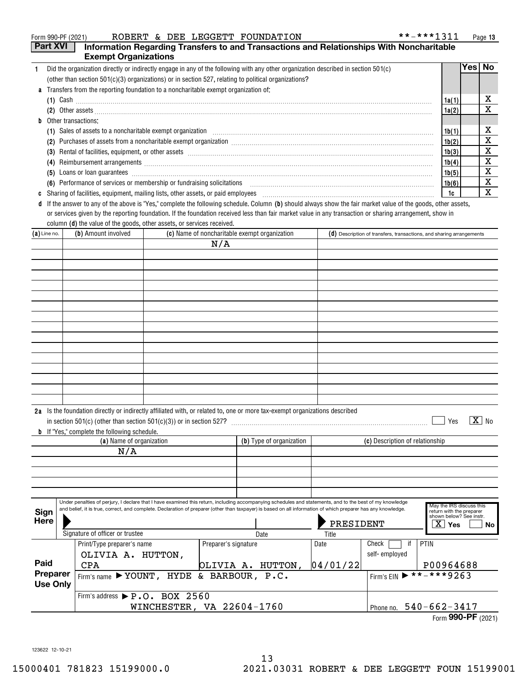|                                                                                                             | **-***1311<br>ROBERT & DEE LEGGETT FOUNDATION<br>Form 990-PF (2021)                                                                                                                                                                                                                                                                     |       |        | Page 13 |  |
|-------------------------------------------------------------------------------------------------------------|-----------------------------------------------------------------------------------------------------------------------------------------------------------------------------------------------------------------------------------------------------------------------------------------------------------------------------------------|-------|--------|---------|--|
| <b>Part XVI</b><br>Information Regarding Transfers to and Transactions and Relationships With Noncharitable |                                                                                                                                                                                                                                                                                                                                         |       |        |         |  |
|                                                                                                             | <b>Exempt Organizations</b>                                                                                                                                                                                                                                                                                                             |       |        |         |  |
|                                                                                                             | Did the organization directly or indirectly engage in any of the following with any other organization described in section 501(c)                                                                                                                                                                                                      |       | Yes No |         |  |
|                                                                                                             | (other than section 501(c)(3) organizations) or in section 527, relating to political organizations?                                                                                                                                                                                                                                    |       |        |         |  |
| a                                                                                                           | Transfers from the reporting foundation to a noncharitable exempt organization of:                                                                                                                                                                                                                                                      |       |        |         |  |
|                                                                                                             | (1) Cash $\ldots$ $\ldots$ $\ldots$ $\ldots$ $\ldots$ $\ldots$ $\ldots$ $\ldots$ $\ldots$ $\ldots$ $\ldots$ $\ldots$ $\ldots$ $\ldots$ $\ldots$ $\ldots$ $\ldots$ $\ldots$ $\ldots$ $\ldots$ $\ldots$ $\ldots$ $\ldots$ $\ldots$ $\ldots$ $\ldots$ $\ldots$ $\ldots$ $\ldots$ $\ldots$ $\ldots$ $\ldots$ $\ldots$ $\ldots$ $\ldots$ $\$ | 1a(1) |        | х       |  |
|                                                                                                             |                                                                                                                                                                                                                                                                                                                                         | 1a(2) |        | X       |  |
| h.                                                                                                          | Other transactions:                                                                                                                                                                                                                                                                                                                     |       |        |         |  |
|                                                                                                             |                                                                                                                                                                                                                                                                                                                                         | 1b(1) |        | x       |  |
|                                                                                                             |                                                                                                                                                                                                                                                                                                                                         | 1b(2) |        | X       |  |
|                                                                                                             | (3)                                                                                                                                                                                                                                                                                                                                     | 1b(3) |        | x       |  |
|                                                                                                             | Reimbursement arrangements [111] All and the contract of the contract of the contract of the contract of the contract of the contract of the contract of the contract of the contract of the contract of the contract of the c<br>(4)                                                                                                   | 1b(4) |        | х       |  |
|                                                                                                             | Loans or loan guarantees <b>communications</b> and contract the contract of the contract of the contract of the contract of the contract of the contract of the contract of the contract of the contract of the contract of the con<br>(5)                                                                                              | 1b(5) |        | X       |  |
|                                                                                                             | (6) Performance of services or membership or fundraising solicitations [11] non-manufactured content of services or membership or fundraising solicitations [11] non-manufactured content of the services or membership or fun                                                                                                          | 1b(6) |        | X       |  |
| c                                                                                                           |                                                                                                                                                                                                                                                                                                                                         | ∣ 1c  |        | X       |  |
| d                                                                                                           | If the answer to any of the above is "Yes," complete the following schedule. Column (b) should always show the fair market value of the goods, other assets,                                                                                                                                                                            |       |        |         |  |
|                                                                                                             | or services given by the reporting foundation. If the foundation received less than fair market value in any transaction or sharing arrangement, show in                                                                                                                                                                                |       |        |         |  |

|                |                     | column ( <b>d</b> ) the value of the goods, other assets, or services received.                                         |                                                                      |
|----------------|---------------------|-------------------------------------------------------------------------------------------------------------------------|----------------------------------------------------------------------|
| $(a)$ Line no. | (b) Amount involved | (c) Name of noncharitable exempt organization                                                                           | (d) Description of transfers, transactions, and sharing arrangements |
|                |                     | N/A                                                                                                                     |                                                                      |
|                |                     |                                                                                                                         |                                                                      |
|                |                     |                                                                                                                         |                                                                      |
|                |                     |                                                                                                                         |                                                                      |
|                |                     |                                                                                                                         |                                                                      |
|                |                     |                                                                                                                         |                                                                      |
|                |                     |                                                                                                                         |                                                                      |
|                |                     |                                                                                                                         |                                                                      |
|                |                     |                                                                                                                         |                                                                      |
|                |                     |                                                                                                                         |                                                                      |
|                |                     |                                                                                                                         |                                                                      |
|                |                     |                                                                                                                         |                                                                      |
|                |                     |                                                                                                                         |                                                                      |
|                |                     |                                                                                                                         |                                                                      |
|                |                     |                                                                                                                         |                                                                      |
|                |                     |                                                                                                                         |                                                                      |
|                |                     | De la the foundation directly or indirectly officient with or related to one or more tay ovemnt experimetions described |                                                                      |

| 2a                                                           | Is the foundation directly or indirectly affiliated with, or related to, one or more tax-exempt organizations described<br>$X \mid N_0$<br>in section 501(c) (other than section $501(c)(3)$ ) or in section 527?<br>Yes |                                                                                                                                                                                                                                                                                                                           |                                        |  |                          |           |                                 |                                                                                                                                |
|--------------------------------------------------------------|--------------------------------------------------------------------------------------------------------------------------------------------------------------------------------------------------------------------------|---------------------------------------------------------------------------------------------------------------------------------------------------------------------------------------------------------------------------------------------------------------------------------------------------------------------------|----------------------------------------|--|--------------------------|-----------|---------------------------------|--------------------------------------------------------------------------------------------------------------------------------|
|                                                              |                                                                                                                                                                                                                          | <b>b</b> If "Yes," complete the following schedule.                                                                                                                                                                                                                                                                       |                                        |  |                          |           |                                 |                                                                                                                                |
|                                                              |                                                                                                                                                                                                                          | (a) Name of organization                                                                                                                                                                                                                                                                                                  |                                        |  | (b) Type of organization |           | (c) Description of relationship |                                                                                                                                |
|                                                              |                                                                                                                                                                                                                          | N/A                                                                                                                                                                                                                                                                                                                       |                                        |  |                          |           |                                 |                                                                                                                                |
|                                                              |                                                                                                                                                                                                                          |                                                                                                                                                                                                                                                                                                                           |                                        |  |                          |           |                                 |                                                                                                                                |
|                                                              |                                                                                                                                                                                                                          |                                                                                                                                                                                                                                                                                                                           |                                        |  |                          |           |                                 |                                                                                                                                |
|                                                              |                                                                                                                                                                                                                          |                                                                                                                                                                                                                                                                                                                           |                                        |  |                          |           |                                 |                                                                                                                                |
|                                                              |                                                                                                                                                                                                                          |                                                                                                                                                                                                                                                                                                                           |                                        |  |                          |           |                                 |                                                                                                                                |
| Sign<br>Here                                                 |                                                                                                                                                                                                                          | Under penalties of perjury, I declare that I have examined this return, including accompanying schedules and statements, and to the best of my knowledge<br>and belief, it is true, correct, and complete. Declaration of preparer (other than taxpayer) is based on all information of which preparer has any knowledge. |                                        |  |                          | PRESIDENT |                                 | May the IRS discuss this<br>return with the preparer<br>shown below? See instr.<br>$\overline{\mathbf{x}}$<br>Yes<br><b>No</b> |
|                                                              |                                                                                                                                                                                                                          | Signature of officer or trustee                                                                                                                                                                                                                                                                                           |                                        |  | Date                     | Title     |                                 |                                                                                                                                |
|                                                              |                                                                                                                                                                                                                          | Print/Type preparer's name                                                                                                                                                                                                                                                                                                | Preparer's signature                   |  |                          | Date      | Check<br>if                     | <b>PTIN</b>                                                                                                                    |
|                                                              |                                                                                                                                                                                                                          | OLIVIA A. HUTTON,                                                                                                                                                                                                                                                                                                         |                                        |  |                          |           | self-employed                   |                                                                                                                                |
| Paid                                                         |                                                                                                                                                                                                                          | <b>CPA</b>                                                                                                                                                                                                                                                                                                                |                                        |  | OLIVIA A. HUTTON,        | 04/01/22  |                                 | P00964688                                                                                                                      |
| <b>Preparer</b><br>Firm's name > YOUNT, HYDE & BARBOUR, P.C. |                                                                                                                                                                                                                          |                                                                                                                                                                                                                                                                                                                           | Firm's EIN $\triangleright$ **-***9263 |  |                          |           |                                 |                                                                                                                                |
| <b>Use Only</b>                                              |                                                                                                                                                                                                                          |                                                                                                                                                                                                                                                                                                                           |                                        |  |                          |           |                                 |                                                                                                                                |
|                                                              |                                                                                                                                                                                                                          | Firm's address $\blacktriangleright$ P.O. BOX 2560                                                                                                                                                                                                                                                                        |                                        |  |                          |           |                                 |                                                                                                                                |
|                                                              |                                                                                                                                                                                                                          | WINCHESTER, VA 22604-1760                                                                                                                                                                                                                                                                                                 |                                        |  |                          |           |                                 | Phone no. 540-662-3417                                                                                                         |

|  | Phone no. $540 - 662 - 3417$ |
|--|------------------------------|
|  | Form 990-PF (2021)           |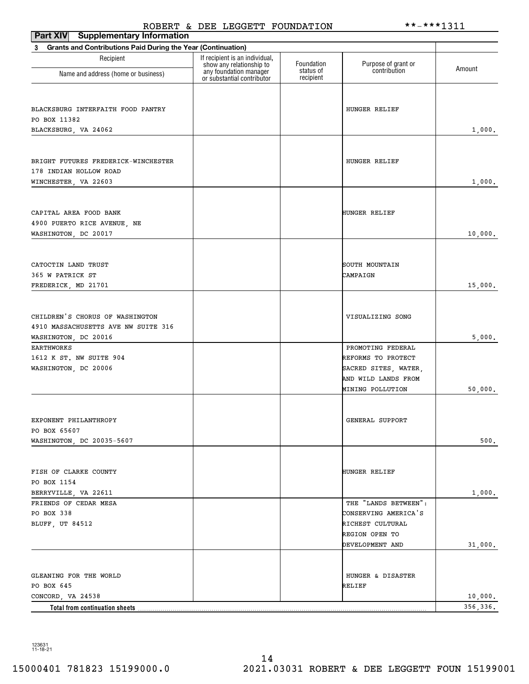| Part XIV<br><b>Supplementary Information</b>                             |                                                                                      |                         |                                     |          |
|--------------------------------------------------------------------------|--------------------------------------------------------------------------------------|-------------------------|-------------------------------------|----------|
| <b>Grants and Contributions Paid During the Year (Continuation)</b><br>3 |                                                                                      |                         |                                     |          |
| Recipient                                                                | If recipient is an individual,<br>show any relationship to<br>any foundation manager | Foundation<br>status of | Purpose of grant or<br>contribution | Amount   |
| Name and address (home or business)                                      | or substantial contributor                                                           | recipient               |                                     |          |
|                                                                          |                                                                                      |                         |                                     |          |
| BLACKSBURG INTERFAITH FOOD PANTRY                                        |                                                                                      |                         | HUNGER RELIEF                       |          |
| PO BOX 11382                                                             |                                                                                      |                         |                                     |          |
| BLACKSBURG, VA 24062                                                     |                                                                                      |                         |                                     | 1,000.   |
|                                                                          |                                                                                      |                         |                                     |          |
| BRIGHT FUTURES FREDERICK-WINCHESTER                                      |                                                                                      |                         | HUNGER RELIEF                       |          |
| 178 INDIAN HOLLOW ROAD                                                   |                                                                                      |                         |                                     |          |
| WINCHESTER, VA 22603                                                     |                                                                                      |                         |                                     | 1,000.   |
|                                                                          |                                                                                      |                         |                                     |          |
| CAPITAL AREA FOOD BANK                                                   |                                                                                      |                         | HUNGER RELIEF                       |          |
| 4900 PUERTO RICE AVENUE, NE                                              |                                                                                      |                         |                                     |          |
| WASHINGTON, DC 20017                                                     |                                                                                      |                         |                                     | 10,000.  |
|                                                                          |                                                                                      |                         |                                     |          |
| CATOCTIN LAND TRUST                                                      |                                                                                      |                         | SOUTH MOUNTAIN                      |          |
| 365 W PATRICK ST                                                         |                                                                                      |                         | CAMPAIGN                            |          |
| FREDERICK, MD 21701                                                      |                                                                                      |                         |                                     | 15,000.  |
|                                                                          |                                                                                      |                         |                                     |          |
| CHILDREN'S CHORUS OF WASHINGTON                                          |                                                                                      |                         | VISUALIZING SONG                    |          |
| 4910 MASSACHUSETTS AVE NW SUITE 316                                      |                                                                                      |                         |                                     |          |
| WASHINGTON, DC 20016                                                     |                                                                                      |                         |                                     | 5,000.   |
| EARTHWORKS                                                               |                                                                                      |                         | PROMOTING FEDERAL                   |          |
| 1612 K ST. NW SUITE 904                                                  |                                                                                      |                         | REFORMS TO PROTECT                  |          |
| WASHINGTON, DC 20006                                                     |                                                                                      |                         | SACRED SITES, WATER,                |          |
|                                                                          |                                                                                      |                         | AND WILD LANDS FROM                 |          |
|                                                                          |                                                                                      |                         | MINING POLLUTION                    | 50,000.  |
|                                                                          |                                                                                      |                         |                                     |          |
| EXPONENT PHILANTHROPY                                                    |                                                                                      |                         | GENERAL SUPPORT                     |          |
| PO BOX 65607<br>WASHINGTON, DC 20035-5607                                |                                                                                      |                         |                                     | 500.     |
|                                                                          |                                                                                      |                         |                                     |          |
|                                                                          |                                                                                      |                         |                                     |          |
| FISH OF CLARKE COUNTY<br>PO BOX 1154                                     |                                                                                      |                         | HUNGER RELIEF                       |          |
| BERRYVILLE, VA 22611                                                     |                                                                                      |                         |                                     | 1,000.   |
| FRIENDS OF CEDAR MESA                                                    |                                                                                      |                         | THE "LANDS BETWEEN":                |          |
| PO BOX 338                                                               |                                                                                      |                         | CONSERVING AMERICA'S                |          |
| BLUFF, UT 84512                                                          |                                                                                      |                         | RICHEST CULTURAL                    |          |
|                                                                          |                                                                                      |                         | REGION OPEN TO                      |          |
|                                                                          |                                                                                      |                         | DEVELOPMENT AND                     | 31,000.  |
|                                                                          |                                                                                      |                         |                                     |          |
| GLEANING FOR THE WORLD                                                   |                                                                                      |                         | HUNGER & DISASTER                   |          |
| PO BOX 645                                                               |                                                                                      |                         | RELIEF                              |          |
| CONCORD, VA 24538                                                        |                                                                                      |                         |                                     | 10,000.  |
| <b>Total from continuation sheets</b>                                    |                                                                                      |                         |                                     | 356,336. |

123631 11-18-21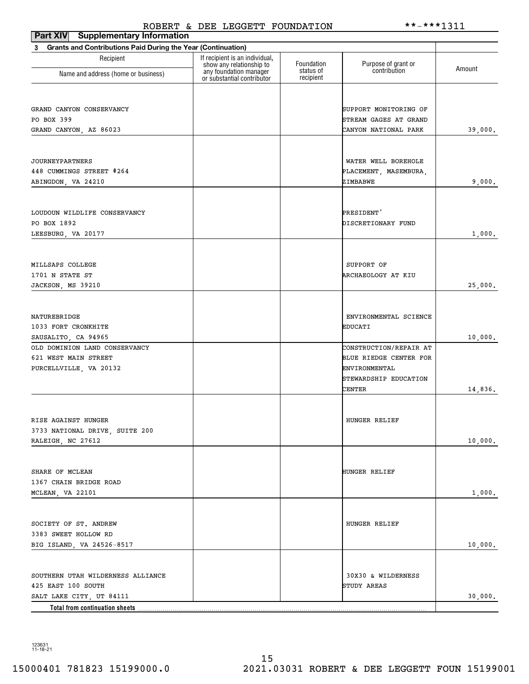| <b>Supplementary Information</b><br>Part XIV                   |                                                                                      |                         |                                        |         |
|----------------------------------------------------------------|--------------------------------------------------------------------------------------|-------------------------|----------------------------------------|---------|
| 3 Grants and Contributions Paid During the Year (Continuation) |                                                                                      |                         |                                        |         |
| Recipient<br>Name and address (home or business)               | If recipient is an individual,<br>show any relationship to<br>any foundation manager | Foundation<br>status of | Purpose of grant or<br>contribution    | Amount  |
|                                                                | or substantial contributor                                                           | recipient               |                                        |         |
|                                                                |                                                                                      |                         |                                        |         |
| GRAND CANYON CONSERVANCY                                       |                                                                                      |                         | SUPPORT MONITORING OF                  |         |
| PO BOX 399                                                     |                                                                                      |                         | STREAM GAGES AT GRAND                  |         |
| GRAND CANYON, AZ 86023                                         |                                                                                      |                         | CANYON NATIONAL PARK                   | 39,000. |
| <b>JOURNEYPARTNERS</b>                                         |                                                                                      |                         | WATER WELL BOREHOLE                    |         |
| 448 CUMMINGS STREET #264                                       |                                                                                      |                         | PLACEMENT, MASEMBURA,                  |         |
| ABINGDON, VA 24210                                             |                                                                                      |                         | ZIMBABWE                               | 9,000.  |
|                                                                |                                                                                      |                         |                                        |         |
| LOUDOUN WILDLIFE CONSERVANCY                                   |                                                                                      |                         | PRESIDENT'                             |         |
| PO BOX 1892                                                    |                                                                                      |                         | DISCRETIONARY FUND                     |         |
| LEESBURG, VA 20177                                             |                                                                                      |                         |                                        | 1,000.  |
|                                                                |                                                                                      |                         |                                        |         |
| MILLSAPS COLLEGE                                               |                                                                                      |                         | SUPPORT OF                             |         |
| 1701 N STATE ST                                                |                                                                                      |                         | ARCHAEOLOGY AT KIU                     |         |
| JACKSON, MS 39210                                              |                                                                                      |                         |                                        | 25,000. |
|                                                                |                                                                                      |                         |                                        |         |
| NATUREBRIDGE                                                   |                                                                                      |                         | ENVIRONMENTAL SCIENCE                  |         |
| 1033 FORT CRONKHITE                                            |                                                                                      |                         | EDUCATI                                |         |
| SAUSALITO, CA 94965                                            |                                                                                      |                         |                                        | 10,000. |
| OLD DOMINION LAND CONSERVANCY                                  |                                                                                      |                         | CONSTRUCTION/REPAIR AT                 |         |
| 621 WEST MAIN STREET                                           |                                                                                      |                         | BLUE RIEDGE CENTER FOR                 |         |
| PURCELLVILLE, VA 20132                                         |                                                                                      |                         | ENVIRONMENTAL<br>STEWARDSHIP EDUCATION |         |
|                                                                |                                                                                      |                         | CENTER                                 | 14,836. |
|                                                                |                                                                                      |                         |                                        |         |
| RISE AGAINST HUNGER                                            |                                                                                      |                         | HUNGER RELIEF                          |         |
| 3733 NATIONAL DRIVE, SUITE 200                                 |                                                                                      |                         |                                        |         |
| RALEIGH, NC 27612                                              |                                                                                      |                         |                                        | 10,000. |
|                                                                |                                                                                      |                         |                                        |         |
| SHARE OF MCLEAN                                                |                                                                                      |                         | HUNGER RELIEF                          |         |
| 1367 CHAIN BRIDGE ROAD                                         |                                                                                      |                         |                                        |         |
| MCLEAN, VA 22101                                               |                                                                                      |                         |                                        | 1,000.  |
|                                                                |                                                                                      |                         |                                        |         |
| SOCIETY OF ST. ANDREW                                          |                                                                                      |                         | HUNGER RELIEF                          |         |
| 3383 SWEET HOLLOW RD                                           |                                                                                      |                         |                                        |         |
| BIG ISLAND, VA 24526-8517                                      |                                                                                      |                         |                                        | 10,000. |
|                                                                |                                                                                      |                         |                                        |         |
| SOUTHERN UTAH WILDERNESS ALLIANCE<br>425 EAST 100 SOUTH        |                                                                                      |                         | 30X30 & WILDERNESS<br>STUDY AREAS      |         |
| SALT LAKE CITY, UT 84111                                       |                                                                                      |                         |                                        | 30,000. |
| Total from continuation sheets                                 |                                                                                      |                         |                                        |         |

123631 11-18-21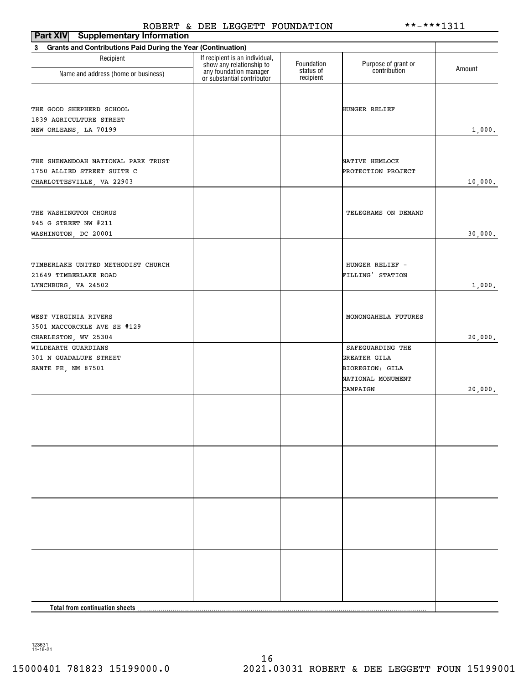| Part XIV<br><b>Supplementary Information</b>                             |                                                            |                         |                                     |         |
|--------------------------------------------------------------------------|------------------------------------------------------------|-------------------------|-------------------------------------|---------|
| <b>Grants and Contributions Paid During the Year (Continuation)</b><br>3 |                                                            |                         |                                     |         |
| Recipient                                                                | If recipient is an individual,<br>show any relationship to | Foundation<br>status of | Purpose of grant or<br>contribution | Amount  |
| Name and address (home or business)                                      | any foundation manager<br>or substantial contributor       | recipient               |                                     |         |
|                                                                          |                                                            |                         |                                     |         |
| THE GOOD SHEPHERD SCHOOL                                                 |                                                            |                         | HUNGER RELIEF                       |         |
| 1839 AGRICULTURE STREET                                                  |                                                            |                         |                                     |         |
| NEW ORLEANS, LA 70199                                                    |                                                            |                         |                                     | 1,000.  |
|                                                                          |                                                            |                         |                                     |         |
| THE SHENANDOAH NATIONAL PARK TRUST                                       |                                                            |                         | NATIVE HEMLOCK                      |         |
| 1750 ALLIED STREET SUITE C                                               |                                                            |                         | PROTECTION PROJECT                  |         |
| CHARLOTTESVILLE, VA 22903                                                |                                                            |                         |                                     | 10,000. |
|                                                                          |                                                            |                         |                                     |         |
| THE WASHINGTON CHORUS                                                    |                                                            |                         | TELEGRAMS ON DEMAND                 |         |
| 945 G STREET NW #211                                                     |                                                            |                         |                                     |         |
| WASHINGTON, DC 20001                                                     |                                                            |                         |                                     | 30,000. |
|                                                                          |                                                            |                         |                                     |         |
| TIMBERLAKE UNITED METHODIST CHURCH                                       |                                                            |                         | HUNGER RELIEF -                     |         |
| 21649 TIMBERLAKE ROAD                                                    |                                                            |                         | FILLING' STATION                    |         |
| LYNCHBURG, VA 24502                                                      |                                                            |                         |                                     | 1,000.  |
|                                                                          |                                                            |                         |                                     |         |
| WEST VIRGINIA RIVERS<br>3501 MACCORCKLE AVE SE #129                      |                                                            |                         | MONONGAHELA FUTURES                 |         |
| CHARLESTON, WV 25304                                                     |                                                            |                         |                                     | 20,000. |
| WILDEARTH GUARDIANS                                                      |                                                            |                         | SAFEGUARDING THE                    |         |
| 301 N GUADALUPE STREET                                                   |                                                            |                         | GREATER GILA                        |         |
| SANTE FE, NM 87501                                                       |                                                            |                         | BIOREGION: GILA                     |         |
|                                                                          |                                                            |                         | NATIONAL MONUMENT                   |         |
|                                                                          |                                                            |                         | CAMPAIGN                            | 20,000. |
|                                                                          |                                                            |                         |                                     |         |
|                                                                          |                                                            |                         |                                     |         |
|                                                                          |                                                            |                         |                                     |         |
|                                                                          |                                                            |                         |                                     |         |
|                                                                          |                                                            |                         |                                     |         |
|                                                                          |                                                            |                         |                                     |         |
|                                                                          |                                                            |                         |                                     |         |
|                                                                          |                                                            |                         |                                     |         |
|                                                                          |                                                            |                         |                                     |         |
|                                                                          |                                                            |                         |                                     |         |
|                                                                          |                                                            |                         |                                     |         |
|                                                                          |                                                            |                         |                                     |         |
|                                                                          |                                                            |                         |                                     |         |
| Total from continuation sheets.                                          |                                                            |                         |                                     |         |

123631 11-18-21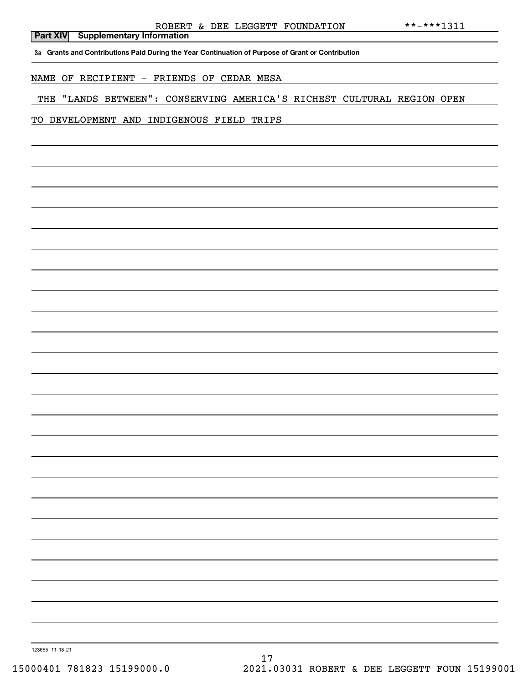**3a Grants and Contributions Paid During the Year Continuation of Purpose of Grant or Contribution**

## NAME OF RECIPIENT - FRIENDS OF CEDAR MESA

# THE "LANDS BETWEEN": CONSERVING AMERICA'S RICHEST CULTURAL REGION OPEN

## TO DEVELOPMENT AND INDIGENOUS FIELD TRIPS

123655 11-18-21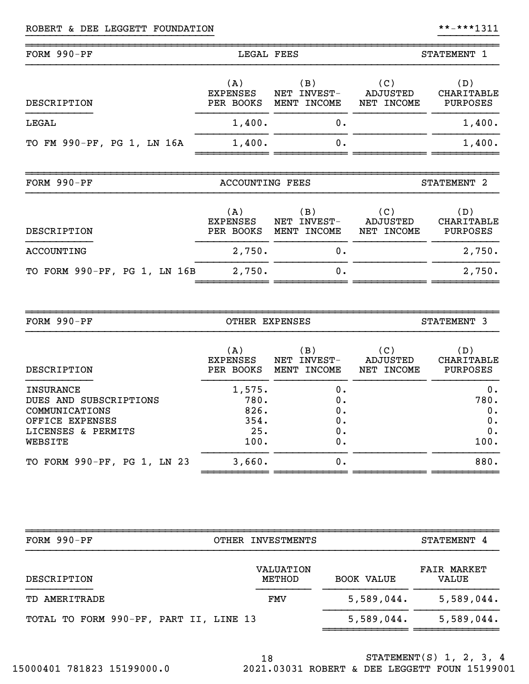# ROBERT & DEE LEGGETT FOUNDATION \*\*-\*\*\*1311

| FORM 990-PF                  | LEGAL FEES                          |                                   | STATEMENT 1                   |                                      |  |
|------------------------------|-------------------------------------|-----------------------------------|-------------------------------|--------------------------------------|--|
| DESCRIPTION                  | (A)<br><b>EXPENSES</b><br>PER BOOKS | (B)<br>NET INVEST-<br>MENT INCOME | (C)<br>ADJUSTED<br>NET INCOME | (D)<br>CHARITABLE<br>PURPOSES        |  |
| LEGAL                        | 1,400.                              | 0.                                |                               | 1,400.                               |  |
| TO FM 990-PF, PG 1, LN 16A   | 1,400.                              | 0.                                |                               | 1,400.                               |  |
|                              |                                     |                                   |                               |                                      |  |
| FORM 990-PF                  | ACCOUNTING FEES                     |                                   |                               | STATEMENT 2                          |  |
| DESCRIPTION                  | (A)<br>EXPENSES<br>PER BOOKS        | (B)<br>NET INVEST-<br>MENT INCOME | (C)<br>ADJUSTED<br>NET INCOME | (D)<br>CHARITABLE<br><b>PURPOSES</b> |  |
| ACCOUNTING                   | 2,750.                              | 0.                                |                               | 2,750.                               |  |
| TO FORM 990-PF, PG 1, LN 16B | 2,750.                              | $0$ .                             |                               | 2,750.                               |  |

}}}}}}}}}}}}}}}}}}}}}}}}}}}}}}} }}}}}}}}}}

| FORM 990-PF                                                                                               | OTHER EXPENSES                                |                                               | STATEMENT 3                   |                                      |  |
|-----------------------------------------------------------------------------------------------------------|-----------------------------------------------|-----------------------------------------------|-------------------------------|--------------------------------------|--|
| DESCRIPTION                                                                                               | (A)<br><b>EXPENSES</b><br>PER BOOKS           | $\mathbf{B}$<br>INVEST-<br>NET<br>MENT INCOME | (C)<br>ADJUSTED<br>NET INCOME | (D)<br>CHARITABLE<br><b>PURPOSES</b> |  |
| INSURANCE<br>DUES AND SUBSCRIPTIONS<br>COMMUNICATIONS<br>OFFICE EXPENSES<br>LICENSES & PERMITS<br>WEBSITE | 1,575.<br>780.<br>826.<br>354.<br>25.<br>100. | 0.<br>0.<br>0.<br>0.<br>0.<br>0.              |                               | 0.<br>780.<br>0.<br>0.<br>0.<br>100. |  |
| TO FORM 990-PF, PG 1, LN 23                                                                               | 3,660.                                        | 0.                                            |                               | 880.                                 |  |

~~~~~~~~~~~~ ~~~~~~~~~~~~ ~~~~~~~~~~~~ ~~~~~~~~~~~

| FORM $990-PF$                          | OTHER INVESTMENTS   |                   | STATEMENT 4                        |
|----------------------------------------|---------------------|-------------------|------------------------------------|
| DESCRIPTION                            | VALUATION<br>METHOD | <b>BOOK VALUE</b> | <b>FAIR MARKET</b><br><b>VALUE</b> |
| TD AMERITRADE                          | FMV                 | 5,589,044.        | 5,589,044.                         |
| TOTAL TO FORM 990-PF, PART II, LINE 13 |                     | 5,589,044.        | 5,589,044.                         |

18 STATEMENT(S) 1, 2, 3, 4